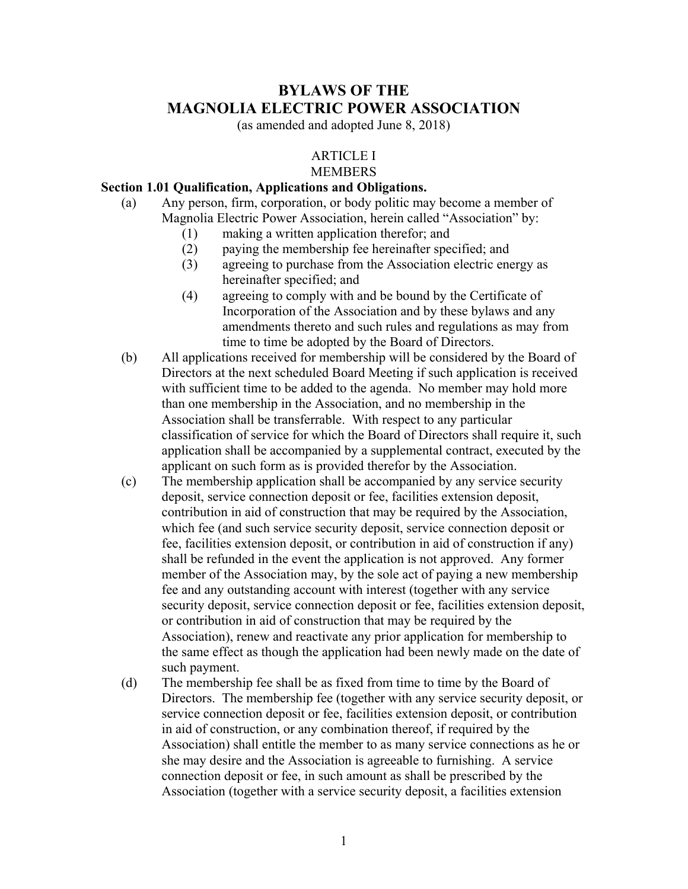# **BYLAWS OF THE MAGNOLIA ELECTRIC POWER ASSOCIATION**

(as amended and adopted June 8, 2018)

## ARTICLE I

## MEMBERS

## **Section 1.01 Qualification, Applications and Obligations.**

- (a) Any person, firm, corporation, or body politic may become a member of Magnolia Electric Power Association, herein called "Association" by:
	- (1) making a written application therefor; and
	- (2) paying the membership fee hereinafter specified; and
	- (3) agreeing to purchase from the Association electric energy as hereinafter specified; and
	- (4) agreeing to comply with and be bound by the Certificate of Incorporation of the Association and by these bylaws and any amendments thereto and such rules and regulations as may from time to time be adopted by the Board of Directors.
- (b) All applications received for membership will be considered by the Board of Directors at the next scheduled Board Meeting if such application is received with sufficient time to be added to the agenda. No member may hold more than one membership in the Association, and no membership in the Association shall be transferrable. With respect to any particular classification of service for which the Board of Directors shall require it, such application shall be accompanied by a supplemental contract, executed by the applicant on such form as is provided therefor by the Association.
- (c) The membership application shall be accompanied by any service security deposit, service connection deposit or fee, facilities extension deposit, contribution in aid of construction that may be required by the Association, which fee (and such service security deposit, service connection deposit or fee, facilities extension deposit, or contribution in aid of construction if any) shall be refunded in the event the application is not approved. Any former member of the Association may, by the sole act of paying a new membership fee and any outstanding account with interest (together with any service security deposit, service connection deposit or fee, facilities extension deposit, or contribution in aid of construction that may be required by the Association), renew and reactivate any prior application for membership to the same effect as though the application had been newly made on the date of such payment.
- (d) The membership fee shall be as fixed from time to time by the Board of Directors. The membership fee (together with any service security deposit, or service connection deposit or fee, facilities extension deposit, or contribution in aid of construction, or any combination thereof, if required by the Association) shall entitle the member to as many service connections as he or she may desire and the Association is agreeable to furnishing. A service connection deposit or fee, in such amount as shall be prescribed by the Association (together with a service security deposit, a facilities extension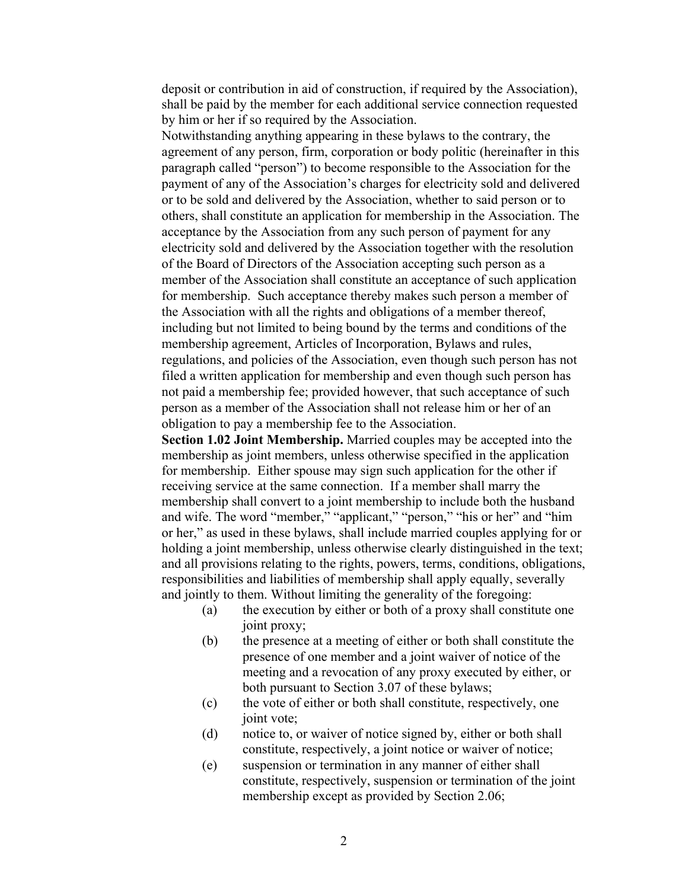deposit or contribution in aid of construction, if required by the Association), shall be paid by the member for each additional service connection requested by him or her if so required by the Association.

 Notwithstanding anything appearing in these bylaws to the contrary, the agreement of any person, firm, corporation or body politic (hereinafter in this paragraph called "person") to become responsible to the Association for the payment of any of the Association's charges for electricity sold and delivered or to be sold and delivered by the Association, whether to said person or to others, shall constitute an application for membership in the Association. The acceptance by the Association from any such person of payment for any electricity sold and delivered by the Association together with the resolution of the Board of Directors of the Association accepting such person as a member of the Association shall constitute an acceptance of such application for membership. Such acceptance thereby makes such person a member of the Association with all the rights and obligations of a member thereof, including but not limited to being bound by the terms and conditions of the membership agreement, Articles of Incorporation, Bylaws and rules, regulations, and policies of the Association, even though such person has not filed a written application for membership and even though such person has not paid a membership fee; provided however, that such acceptance of such person as a member of the Association shall not release him or her of an obligation to pay a membership fee to the Association.

**Section 1.02 Joint Membership.** Married couples may be accepted into the membership as joint members, unless otherwise specified in the application for membership. Either spouse may sign such application for the other if receiving service at the same connection. If a member shall marry the membership shall convert to a joint membership to include both the husband and wife. The word "member," "applicant," "person," "his or her" and "him or her," as used in these bylaws, shall include married couples applying for or holding a joint membership, unless otherwise clearly distinguished in the text; and all provisions relating to the rights, powers, terms, conditions, obligations, responsibilities and liabilities of membership shall apply equally, severally and jointly to them. Without limiting the generality of the foregoing:

- (a) the execution by either or both of a proxy shall constitute one joint proxy;
- (b) the presence at a meeting of either or both shall constitute the presence of one member and a joint waiver of notice of the meeting and a revocation of any proxy executed by either, or both pursuant to Section 3.07 of these bylaws;
- (c) the vote of either or both shall constitute, respectively, one joint vote;
- (d) notice to, or waiver of notice signed by, either or both shall constitute, respectively, a joint notice or waiver of notice;
- (e) suspension or termination in any manner of either shall constitute, respectively, suspension or termination of the joint membership except as provided by Section 2.06;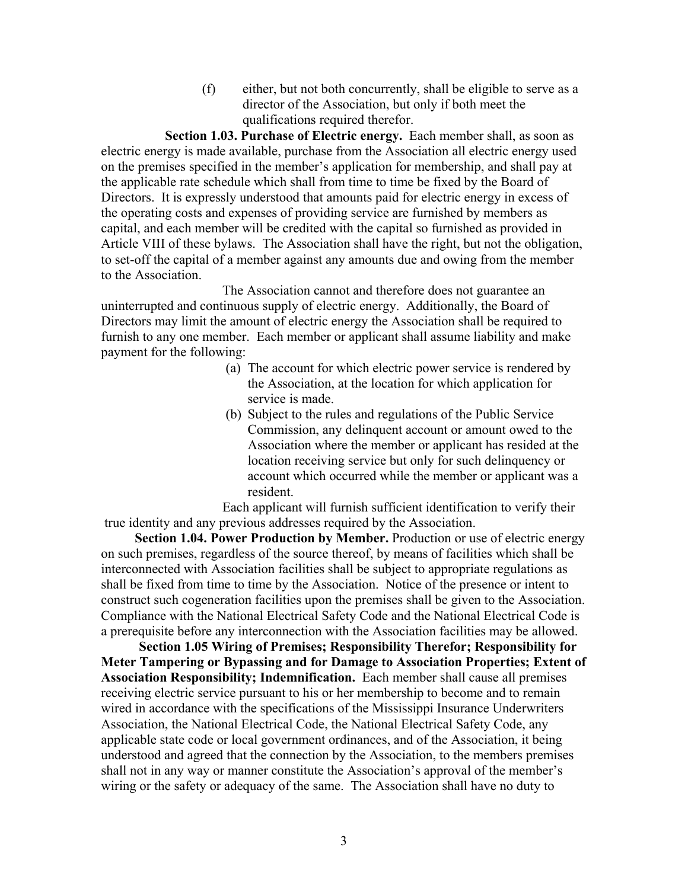(f) either, but not both concurrently, shall be eligible to serve as a director of the Association, but only if both meet the qualifications required therefor.

 **Section 1.03. Purchase of Electric energy.** Each member shall, as soon as electric energy is made available, purchase from the Association all electric energy used on the premises specified in the member's application for membership, and shall pay at the applicable rate schedule which shall from time to time be fixed by the Board of Directors. It is expressly understood that amounts paid for electric energy in excess of the operating costs and expenses of providing service are furnished by members as capital, and each member will be credited with the capital so furnished as provided in Article VIII of these bylaws. The Association shall have the right, but not the obligation, to set-off the capital of a member against any amounts due and owing from the member to the Association.

 The Association cannot and therefore does not guarantee an uninterrupted and continuous supply of electric energy. Additionally, the Board of Directors may limit the amount of electric energy the Association shall be required to furnish to any one member. Each member or applicant shall assume liability and make payment for the following:

- (a) The account for which electric power service is rendered by the Association, at the location for which application for service is made.
- (b) Subject to the rules and regulations of the Public Service Commission, any delinquent account or amount owed to the Association where the member or applicant has resided at the location receiving service but only for such delinquency or account which occurred while the member or applicant was a resident.

 Each applicant will furnish sufficient identification to verify their true identity and any previous addresses required by the Association.

 **Section 1.04. Power Production by Member.** Production or use of electric energy on such premises, regardless of the source thereof, by means of facilities which shall be interconnected with Association facilities shall be subject to appropriate regulations as shall be fixed from time to time by the Association. Notice of the presence or intent to construct such cogeneration facilities upon the premises shall be given to the Association. Compliance with the National Electrical Safety Code and the National Electrical Code is a prerequisite before any interconnection with the Association facilities may be allowed.

**Section 1.05 Wiring of Premises; Responsibility Therefor; Responsibility for Meter Tampering or Bypassing and for Damage to Association Properties; Extent of Association Responsibility; Indemnification.** Each member shall cause all premises receiving electric service pursuant to his or her membership to become and to remain wired in accordance with the specifications of the Mississippi Insurance Underwriters Association, the National Electrical Code, the National Electrical Safety Code, any applicable state code or local government ordinances, and of the Association, it being understood and agreed that the connection by the Association, to the members premises shall not in any way or manner constitute the Association's approval of the member's wiring or the safety or adequacy of the same. The Association shall have no duty to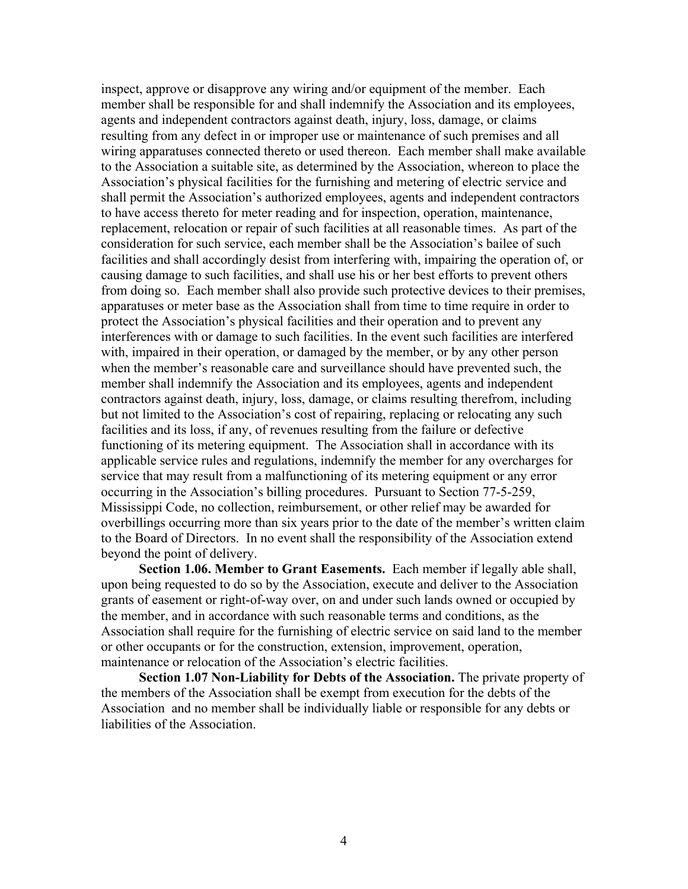inspect, approve or disapprove any wiring and/or equipment of the member. Each member shall be responsible for and shall indemnify the Association and its employees, agents and independent contractors against death, injury, loss, damage, or claims resulting from any defect in or improper use or maintenance of such premises and all wiring apparatuses connected thereto or used thereon. Each member shall make available to the Association a suitable site, as determined by the Association, whereon to place the Association's physical facilities for the furnishing and metering of electric service and shall permit the Association's authorized employees, agents and independent contractors to have access thereto for meter reading and for inspection, operation, maintenance, replacement, relocation or repair of such facilities at all reasonable times. As part of the consideration for such service, each member shall be the Association's bailee of such facilities and shall accordingly desist from interfering with, impairing the operation of, or causing damage to such facilities, and shall use his or her best efforts to prevent others from doing so. Each member shall also provide such protective devices to their premises, apparatuses or meter base as the Association shall from time to time require in order to protect the Association's physical facilities and their operation and to prevent any interferences with or damage to such facilities. In the event such facilities are interfered with, impaired in their operation, or damaged by the member, or by any other person when the member's reasonable care and surveillance should have prevented such, the member shall indemnify the Association and its employees, agents and independent contractors against death, injury, loss, damage, or claims resulting therefrom, including but not limited to the Association's cost of repairing, replacing or relocating any such facilities and its loss, if any, of revenues resulting from the failure or defective functioning of its metering equipment. The Association shall in accordance with its applicable service rules and regulations, indemnify the member for any overcharges for service that may result from a malfunctioning of its metering equipment or any error occurring in the Association's billing procedures. Pursuant to Section 77-5-259, Mississippi Code, no collection, reimbursement, or other relief may be awarded for overbillings occurring more than six years prior to the date of the member's written claim to the Board of Directors. In no event shall the responsibility of the Association extend beyond the point of delivery.

**Section 1.06. Member to Grant Easements.** Each member if legally able shall, upon being requested to do so by the Association, execute and deliver to the Association grants of easement or right-of-way over, on and under such lands owned or occupied by the member, and in accordance with such reasonable terms and conditions, as the Association shall require for the furnishing of electric service on said land to the member or other occupants or for the construction, extension, improvement, operation, maintenance or relocation of the Association's electric facilities.

**Section 1.07 Non-Liability for Debts of the Association.** The private property of the members of the Association shall be exempt from execution for the debts of the Association and no member shall be individually liable or responsible for any debts or liabilities of the Association.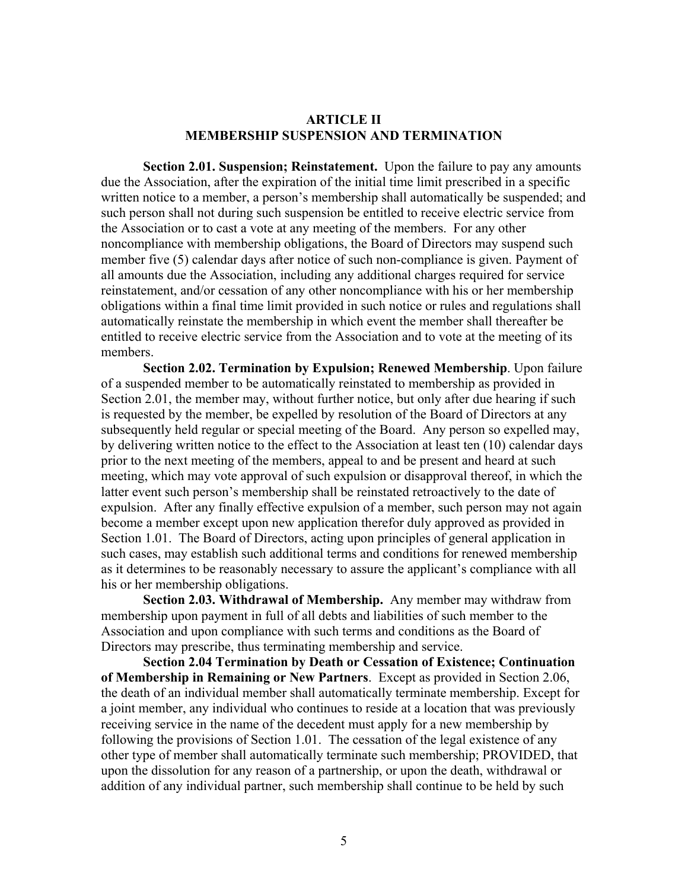## **ARTICLE II MEMBERSHIP SUSPENSION AND TERMINATION**

 **Section 2.01. Suspension; Reinstatement.** Upon the failure to pay any amounts due the Association, after the expiration of the initial time limit prescribed in a specific written notice to a member, a person's membership shall automatically be suspended; and such person shall not during such suspension be entitled to receive electric service from the Association or to cast a vote at any meeting of the members. For any other noncompliance with membership obligations, the Board of Directors may suspend such member five (5) calendar days after notice of such non-compliance is given. Payment of all amounts due the Association, including any additional charges required for service reinstatement, and/or cessation of any other noncompliance with his or her membership obligations within a final time limit provided in such notice or rules and regulations shall automatically reinstate the membership in which event the member shall thereafter be entitled to receive electric service from the Association and to vote at the meeting of its members.

 **Section 2.02. Termination by Expulsion; Renewed Membership**. Upon failure of a suspended member to be automatically reinstated to membership as provided in Section 2.01, the member may, without further notice, but only after due hearing if such is requested by the member, be expelled by resolution of the Board of Directors at any subsequently held regular or special meeting of the Board. Any person so expelled may, by delivering written notice to the effect to the Association at least ten (10) calendar days prior to the next meeting of the members, appeal to and be present and heard at such meeting, which may vote approval of such expulsion or disapproval thereof, in which the latter event such person's membership shall be reinstated retroactively to the date of expulsion. After any finally effective expulsion of a member, such person may not again become a member except upon new application therefor duly approved as provided in Section 1.01. The Board of Directors, acting upon principles of general application in such cases, may establish such additional terms and conditions for renewed membership as it determines to be reasonably necessary to assure the applicant's compliance with all his or her membership obligations.

**Section 2.03. Withdrawal of Membership.** Any member may withdraw from membership upon payment in full of all debts and liabilities of such member to the Association and upon compliance with such terms and conditions as the Board of Directors may prescribe, thus terminating membership and service.

**Section 2.04 Termination by Death or Cessation of Existence; Continuation of Membership in Remaining or New Partners**. Except as provided in Section 2.06, the death of an individual member shall automatically terminate membership. Except for a joint member, any individual who continues to reside at a location that was previously receiving service in the name of the decedent must apply for a new membership by following the provisions of Section 1.01. The cessation of the legal existence of any other type of member shall automatically terminate such membership; PROVIDED, that upon the dissolution for any reason of a partnership, or upon the death, withdrawal or addition of any individual partner, such membership shall continue to be held by such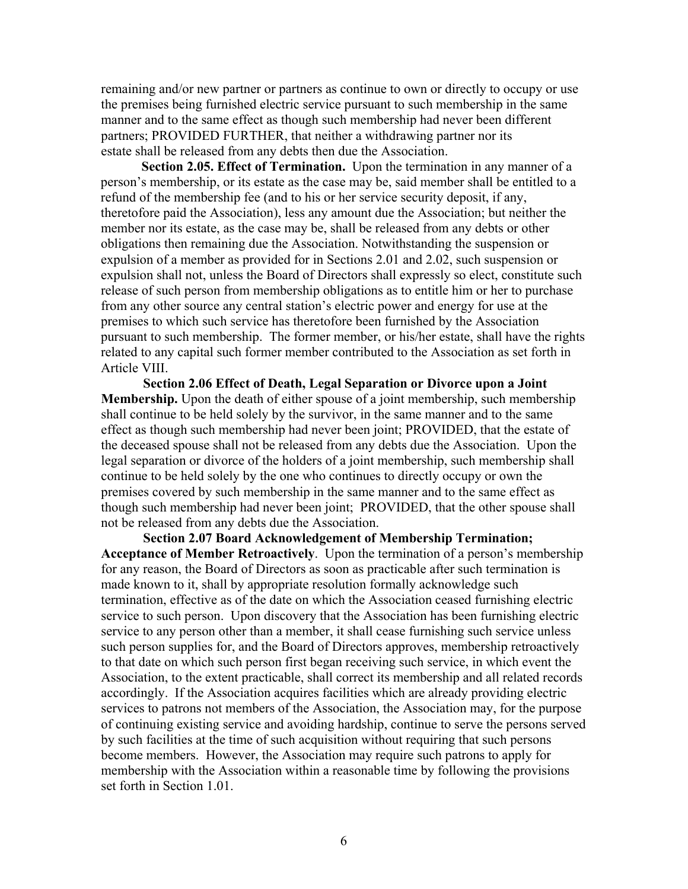remaining and/or new partner or partners as continue to own or directly to occupy or use the premises being furnished electric service pursuant to such membership in the same manner and to the same effect as though such membership had never been different partners; PROVIDED FURTHER, that neither a withdrawing partner nor its estate shall be released from any debts then due the Association.

 **Section 2.05. Effect of Termination.** Upon the termination in any manner of a person's membership, or its estate as the case may be, said member shall be entitled to a refund of the membership fee (and to his or her service security deposit, if any, theretofore paid the Association), less any amount due the Association; but neither the member nor its estate, as the case may be, shall be released from any debts or other obligations then remaining due the Association. Notwithstanding the suspension or expulsion of a member as provided for in Sections 2.01 and 2.02, such suspension or expulsion shall not, unless the Board of Directors shall expressly so elect, constitute such release of such person from membership obligations as to entitle him or her to purchase from any other source any central station's electric power and energy for use at the premises to which such service has theretofore been furnished by the Association pursuant to such membership. The former member, or his/her estate, shall have the rights related to any capital such former member contributed to the Association as set forth in Article VIII.

 **Section 2.06 Effect of Death, Legal Separation or Divorce upon a Joint Membership.** Upon the death of either spouse of a joint membership, such membership shall continue to be held solely by the survivor, in the same manner and to the same effect as though such membership had never been joint; PROVIDED, that the estate of the deceased spouse shall not be released from any debts due the Association. Upon the legal separation or divorce of the holders of a joint membership, such membership shall continue to be held solely by the one who continues to directly occupy or own the premises covered by such membership in the same manner and to the same effect as though such membership had never been joint; PROVIDED, that the other spouse shall not be released from any debts due the Association.

 **Section 2.07 Board Acknowledgement of Membership Termination; Acceptance of Member Retroactively**. Upon the termination of a person's membership for any reason, the Board of Directors as soon as practicable after such termination is made known to it, shall by appropriate resolution formally acknowledge such termination, effective as of the date on which the Association ceased furnishing electric service to such person. Upon discovery that the Association has been furnishing electric service to any person other than a member, it shall cease furnishing such service unless such person supplies for, and the Board of Directors approves, membership retroactively to that date on which such person first began receiving such service, in which event the Association, to the extent practicable, shall correct its membership and all related records accordingly. If the Association acquires facilities which are already providing electric services to patrons not members of the Association, the Association may, for the purpose of continuing existing service and avoiding hardship, continue to serve the persons served by such facilities at the time of such acquisition without requiring that such persons become members. However, the Association may require such patrons to apply for membership with the Association within a reasonable time by following the provisions set forth in Section 1.01.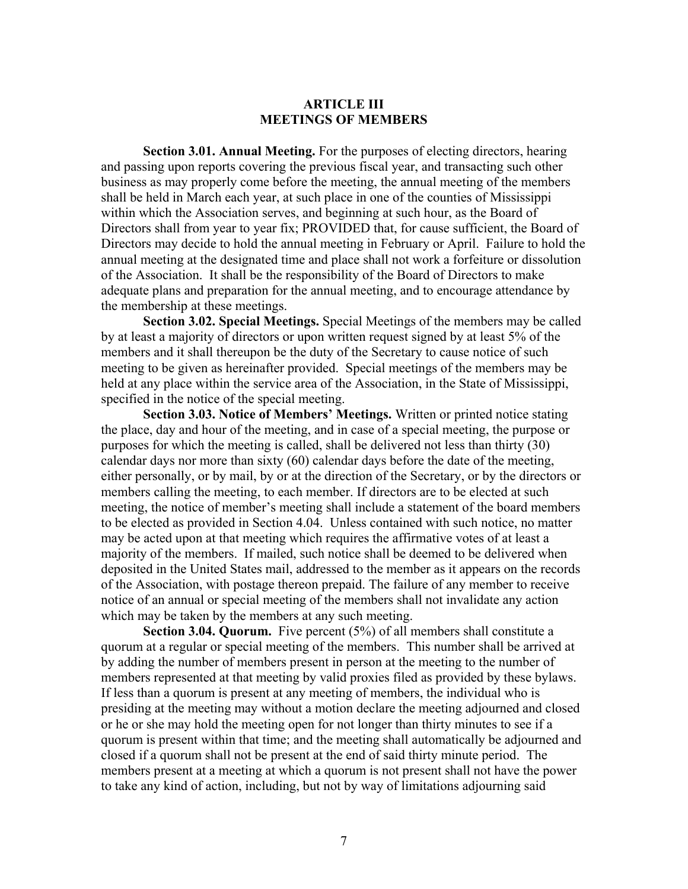## **ARTICLE III MEETINGS OF MEMBERS**

 **Section 3.01. Annual Meeting.** For the purposes of electing directors, hearing and passing upon reports covering the previous fiscal year, and transacting such other business as may properly come before the meeting, the annual meeting of the members shall be held in March each year, at such place in one of the counties of Mississippi within which the Association serves, and beginning at such hour, as the Board of Directors shall from year to year fix; PROVIDED that, for cause sufficient, the Board of Directors may decide to hold the annual meeting in February or April. Failure to hold the annual meeting at the designated time and place shall not work a forfeiture or dissolution of the Association. It shall be the responsibility of the Board of Directors to make adequate plans and preparation for the annual meeting, and to encourage attendance by the membership at these meetings.

 **Section 3.02. Special Meetings.** Special Meetings of the members may be called by at least a majority of directors or upon written request signed by at least 5% of the members and it shall thereupon be the duty of the Secretary to cause notice of such meeting to be given as hereinafter provided. Special meetings of the members may be held at any place within the service area of the Association, in the State of Mississippi, specified in the notice of the special meeting.

 **Section 3.03. Notice of Members' Meetings.** Written or printed notice stating the place, day and hour of the meeting, and in case of a special meeting, the purpose or purposes for which the meeting is called, shall be delivered not less than thirty (30) calendar days nor more than sixty (60) calendar days before the date of the meeting, either personally, or by mail, by or at the direction of the Secretary, or by the directors or members calling the meeting, to each member. If directors are to be elected at such meeting, the notice of member's meeting shall include a statement of the board members to be elected as provided in Section 4.04. Unless contained with such notice, no matter may be acted upon at that meeting which requires the affirmative votes of at least a majority of the members. If mailed, such notice shall be deemed to be delivered when deposited in the United States mail, addressed to the member as it appears on the records of the Association, with postage thereon prepaid. The failure of any member to receive notice of an annual or special meeting of the members shall not invalidate any action which may be taken by the members at any such meeting.

**Section 3.04. Quorum.** Five percent (5%) of all members shall constitute a quorum at a regular or special meeting of the members. This number shall be arrived at by adding the number of members present in person at the meeting to the number of members represented at that meeting by valid proxies filed as provided by these bylaws. If less than a quorum is present at any meeting of members, the individual who is presiding at the meeting may without a motion declare the meeting adjourned and closed or he or she may hold the meeting open for not longer than thirty minutes to see if a quorum is present within that time; and the meeting shall automatically be adjourned and closed if a quorum shall not be present at the end of said thirty minute period. The members present at a meeting at which a quorum is not present shall not have the power to take any kind of action, including, but not by way of limitations adjourning said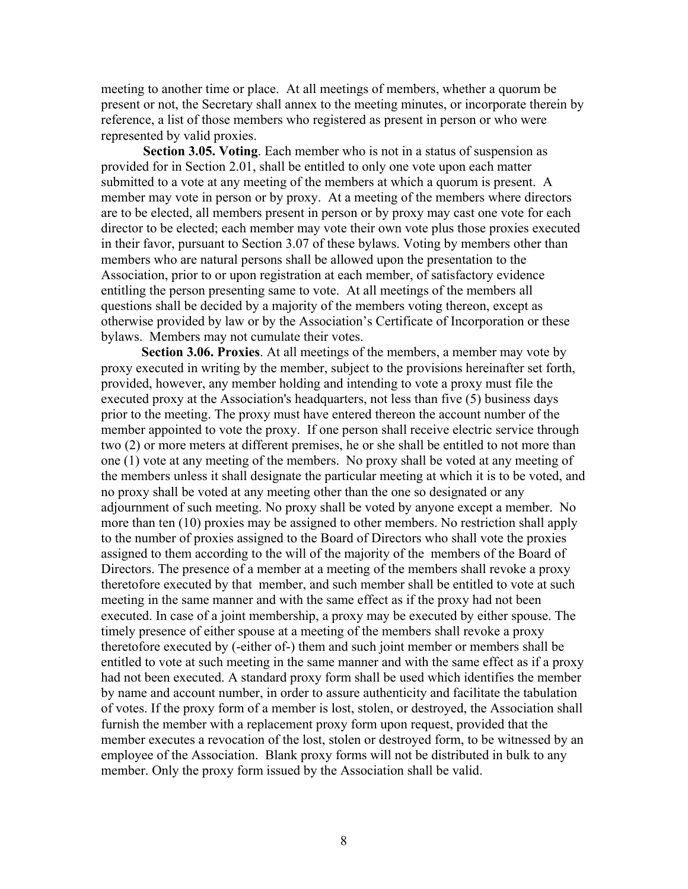meeting to another time or place. At all meetings of members, whether a quorum be present or not, the Secretary shall annex to the meeting minutes, or incorporate therein by reference, a list of those members who registered as present in person or who were represented by valid proxies.

 **Section 3.05. Voting**. Each member who is not in a status of suspension as provided for in Section 2.01, shall be entitled to only one vote upon each matter submitted to a vote at any meeting of the members at which a quorum is present. A member may vote in person or by proxy. At a meeting of the members where directors are to be elected, all members present in person or by proxy may cast one vote for each director to be elected; each member may vote their own vote plus those proxies executed in their favor, pursuant to Section 3.07 of these bylaws. Voting by members other than members who are natural persons shall be allowed upon the presentation to the Association, prior to or upon registration at each member, of satisfactory evidence entitling the person presenting same to vote. At all meetings of the members all questions shall be decided by a majority of the members voting thereon, except as otherwise provided by law or by the Association's Certificate of Incorporation or these bylaws. Members may not cumulate their votes.

**Section 3.06. Proxies**. At all meetings of the members, a member may vote by proxy executed in writing by the member, subject to the provisions hereinafter set forth, provided, however, any member holding and intending to vote a proxy must file the executed proxy at the Association's headquarters, not less than five (5) business days prior to the meeting. The proxy must have entered thereon the account number of the member appointed to vote the proxy. If one person shall receive electric service through two (2) or more meters at different premises, he or she shall be entitled to not more than one (1) vote at any meeting of the members. No proxy shall be voted at any meeting of the members unless it shall designate the particular meeting at which it is to be voted, and no proxy shall be voted at any meeting other than the one so designated or any adjournment of such meeting. No proxy shall be voted by anyone except a member. No more than ten (10) proxies may be assigned to other members. No restriction shall apply to the number of proxies assigned to the Board of Directors who shall vote the proxies assigned to them according to the will of the majority of the members of the Board of Directors. The presence of a member at a meeting of the members shall revoke a proxy theretofore executed by that member, and such member shall be entitled to vote at such meeting in the same manner and with the same effect as if the proxy had not been executed. In case of a joint membership, a proxy may be executed by either spouse. The timely presence of either spouse at a meeting of the members shall revoke a proxy theretofore executed by (-either of-) them and such joint member or members shall be entitled to vote at such meeting in the same manner and with the same effect as if a proxy had not been executed. A standard proxy form shall be used which identifies the member by name and account number, in order to assure authenticity and facilitate the tabulation of votes. If the proxy form of a member is lost, stolen, or destroyed, the Association shall furnish the member with a replacement proxy form upon request, provided that the member executes a revocation of the lost, stolen or destroyed form, to be witnessed by an employee of the Association. Blank proxy forms will not be distributed in bulk to any member. Only the proxy form issued by the Association shall be valid.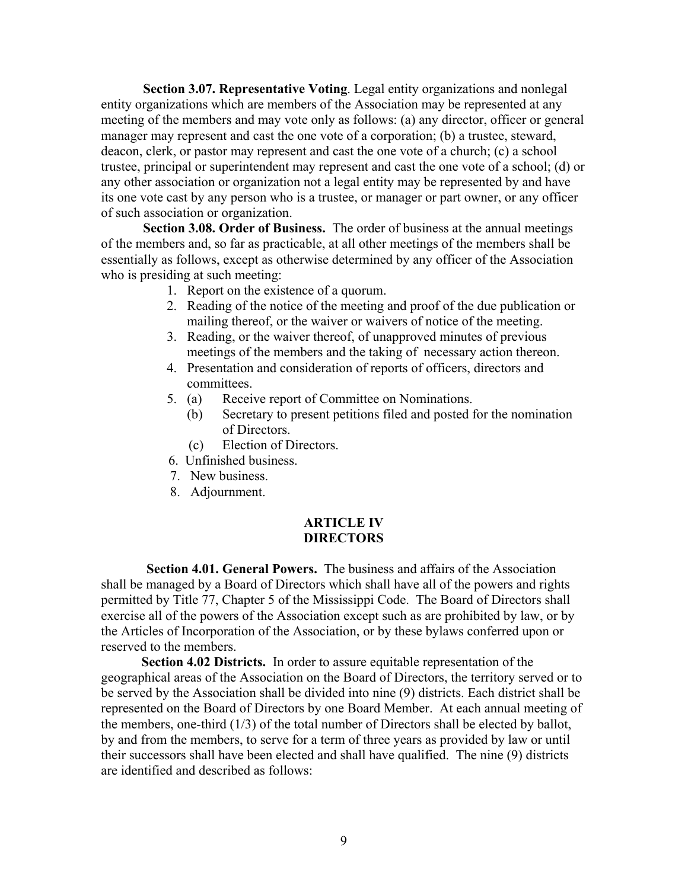**Section 3.07. Representative Voting**. Legal entity organizations and nonlegal entity organizations which are members of the Association may be represented at any meeting of the members and may vote only as follows: (a) any director, officer or general manager may represent and cast the one vote of a corporation; (b) a trustee, steward, deacon, clerk, or pastor may represent and cast the one vote of a church; (c) a school trustee, principal or superintendent may represent and cast the one vote of a school; (d) or any other association or organization not a legal entity may be represented by and have its one vote cast by any person who is a trustee, or manager or part owner, or any officer of such association or organization.

 **Section 3.08. Order of Business.** The order of business at the annual meetings of the members and, so far as practicable, at all other meetings of the members shall be essentially as follows, except as otherwise determined by any officer of the Association who is presiding at such meeting:

- 1. Report on the existence of a quorum.
- 2. Reading of the notice of the meeting and proof of the due publication or mailing thereof, or the waiver or waivers of notice of the meeting.
- 3. Reading, or the waiver thereof, of unapproved minutes of previous meetings of the members and the taking of necessary action thereon.
- 4. Presentation and consideration of reports of officers, directors and committees.
- 5. (a) Receive report of Committee on Nominations.
	- (b) Secretary to present petitions filed and posted for the nomination of Directors.
	- (c) Election of Directors.
- 6. Unfinished business.
- 7. New business.
- 8. Adjournment.

### **ARTICLE IV DIRECTORS**

**Section 4.01. General Powers.** The business and affairs of the Association shall be managed by a Board of Directors which shall have all of the powers and rights permitted by Title 77, Chapter 5 of the Mississippi Code. The Board of Directors shall exercise all of the powers of the Association except such as are prohibited by law, or by the Articles of Incorporation of the Association, or by these bylaws conferred upon or reserved to the members.

 **Section 4.02 Districts.** In order to assure equitable representation of the geographical areas of the Association on the Board of Directors, the territory served or to be served by the Association shall be divided into nine (9) districts. Each district shall be represented on the Board of Directors by one Board Member. At each annual meeting of the members, one-third (1/3) of the total number of Directors shall be elected by ballot, by and from the members, to serve for a term of three years as provided by law or until their successors shall have been elected and shall have qualified. The nine (9) districts are identified and described as follows: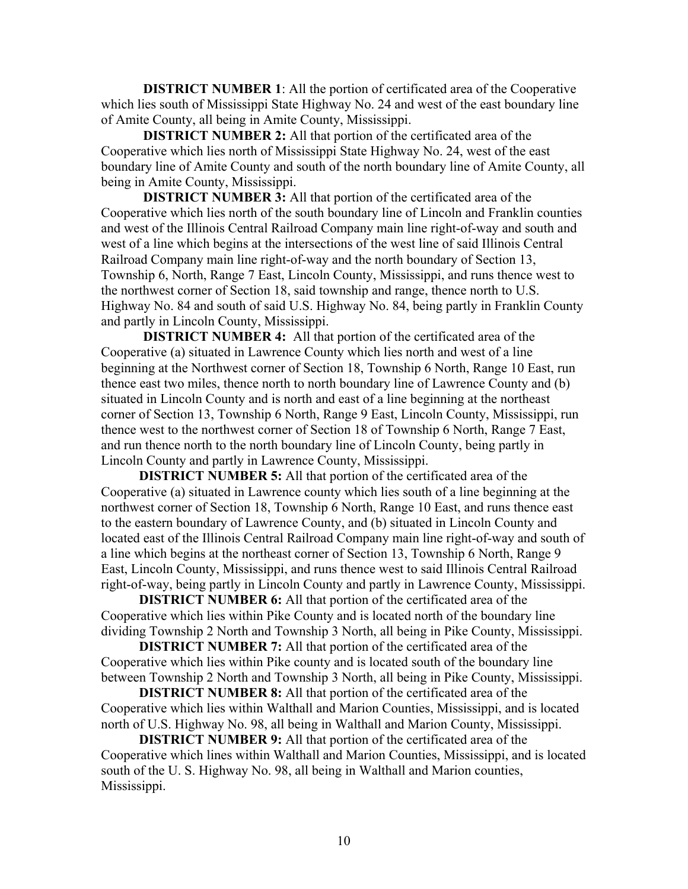**DISTRICT NUMBER 1**: All the portion of certificated area of the Cooperative which lies south of Mississippi State Highway No. 24 and west of the east boundary line of Amite County, all being in Amite County, Mississippi.

 **DISTRICT NUMBER 2:** All that portion of the certificated area of the Cooperative which lies north of Mississippi State Highway No. 24, west of the east boundary line of Amite County and south of the north boundary line of Amite County, all being in Amite County, Mississippi.

 **DISTRICT NUMBER 3:** All that portion of the certificated area of the Cooperative which lies north of the south boundary line of Lincoln and Franklin counties and west of the Illinois Central Railroad Company main line right-of-way and south and west of a line which begins at the intersections of the west line of said Illinois Central Railroad Company main line right-of-way and the north boundary of Section 13, Township 6, North, Range 7 East, Lincoln County, Mississippi, and runs thence west to the northwest corner of Section 18, said township and range, thence north to U.S. Highway No. 84 and south of said U.S. Highway No. 84, being partly in Franklin County and partly in Lincoln County, Mississippi.

**DISTRICT NUMBER 4:** All that portion of the certificated area of the Cooperative (a) situated in Lawrence County which lies north and west of a line beginning at the Northwest corner of Section 18, Township 6 North, Range 10 East, run thence east two miles, thence north to north boundary line of Lawrence County and (b) situated in Lincoln County and is north and east of a line beginning at the northeast corner of Section 13, Township 6 North, Range 9 East, Lincoln County, Mississippi, run thence west to the northwest corner of Section 18 of Township 6 North, Range 7 East, and run thence north to the north boundary line of Lincoln County, being partly in Lincoln County and partly in Lawrence County, Mississippi.

 **DISTRICT NUMBER 5:** All that portion of the certificated area of the Cooperative (a) situated in Lawrence county which lies south of a line beginning at the northwest corner of Section 18, Township 6 North, Range 10 East, and runs thence east to the eastern boundary of Lawrence County, and (b) situated in Lincoln County and located east of the Illinois Central Railroad Company main line right-of-way and south of a line which begins at the northeast corner of Section 13, Township 6 North, Range 9 East, Lincoln County, Mississippi, and runs thence west to said Illinois Central Railroad right-of-way, being partly in Lincoln County and partly in Lawrence County, Mississippi.

**DISTRICT NUMBER 6:** All that portion of the certificated area of the Cooperative which lies within Pike County and is located north of the boundary line dividing Township 2 North and Township 3 North, all being in Pike County, Mississippi.

**DISTRICT NUMBER 7:** All that portion of the certificated area of the Cooperative which lies within Pike county and is located south of the boundary line between Township 2 North and Township 3 North, all being in Pike County, Mississippi.

**DISTRICT NUMBER 8:** All that portion of the certificated area of the Cooperative which lies within Walthall and Marion Counties, Mississippi, and is located north of U.S. Highway No. 98, all being in Walthall and Marion County, Mississippi.

 **DISTRICT NUMBER 9:** All that portion of the certificated area of the Cooperative which lines within Walthall and Marion Counties, Mississippi, and is located south of the U. S. Highway No. 98, all being in Walthall and Marion counties, Mississippi.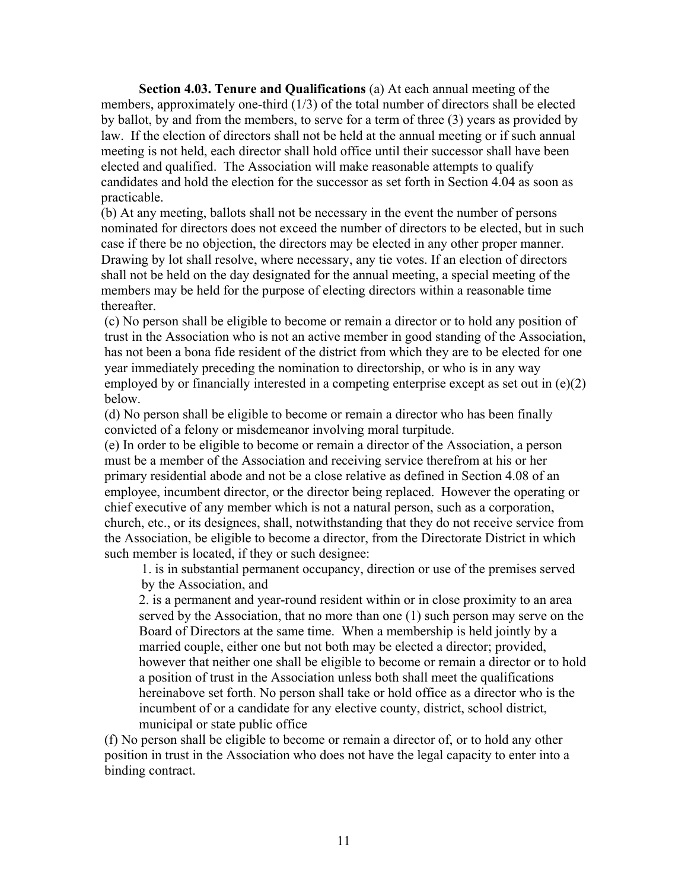**Section 4.03. Tenure and Qualifications** (a) At each annual meeting of the members, approximately one-third (1/3) of the total number of directors shall be elected by ballot, by and from the members, to serve for a term of three (3) years as provided by law. If the election of directors shall not be held at the annual meeting or if such annual meeting is not held, each director shall hold office until their successor shall have been elected and qualified. The Association will make reasonable attempts to qualify candidates and hold the election for the successor as set forth in Section 4.04 as soon as practicable.

(b) At any meeting, ballots shall not be necessary in the event the number of persons nominated for directors does not exceed the number of directors to be elected, but in such case if there be no objection, the directors may be elected in any other proper manner. Drawing by lot shall resolve, where necessary, any tie votes. If an election of directors shall not be held on the day designated for the annual meeting, a special meeting of the members may be held for the purpose of electing directors within a reasonable time thereafter.

(c) No person shall be eligible to become or remain a director or to hold any position of trust in the Association who is not an active member in good standing of the Association, has not been a bona fide resident of the district from which they are to be elected for one year immediately preceding the nomination to directorship, or who is in any way employed by or financially interested in a competing enterprise except as set out in (e)(2) below.

(d) No person shall be eligible to become or remain a director who has been finally convicted of a felony or misdemeanor involving moral turpitude.

(e) In order to be eligible to become or remain a director of the Association, a person must be a member of the Association and receiving service therefrom at his or her primary residential abode and not be a close relative as defined in Section 4.08 of an employee, incumbent director, or the director being replaced. However the operating or chief executive of any member which is not a natural person, such as a corporation, church, etc., or its designees, shall, notwithstanding that they do not receive service from the Association, be eligible to become a director, from the Directorate District in which such member is located, if they or such designee:

1. is in substantial permanent occupancy, direction or use of the premises served by the Association, and

2. is a permanent and year-round resident within or in close proximity to an area served by the Association, that no more than one (1) such person may serve on the Board of Directors at the same time. When a membership is held jointly by a married couple, either one but not both may be elected a director; provided, however that neither one shall be eligible to become or remain a director or to hold a position of trust in the Association unless both shall meet the qualifications hereinabove set forth. No person shall take or hold office as a director who is the incumbent of or a candidate for any elective county, district, school district, municipal or state public office

(f) No person shall be eligible to become or remain a director of, or to hold any other position in trust in the Association who does not have the legal capacity to enter into a binding contract.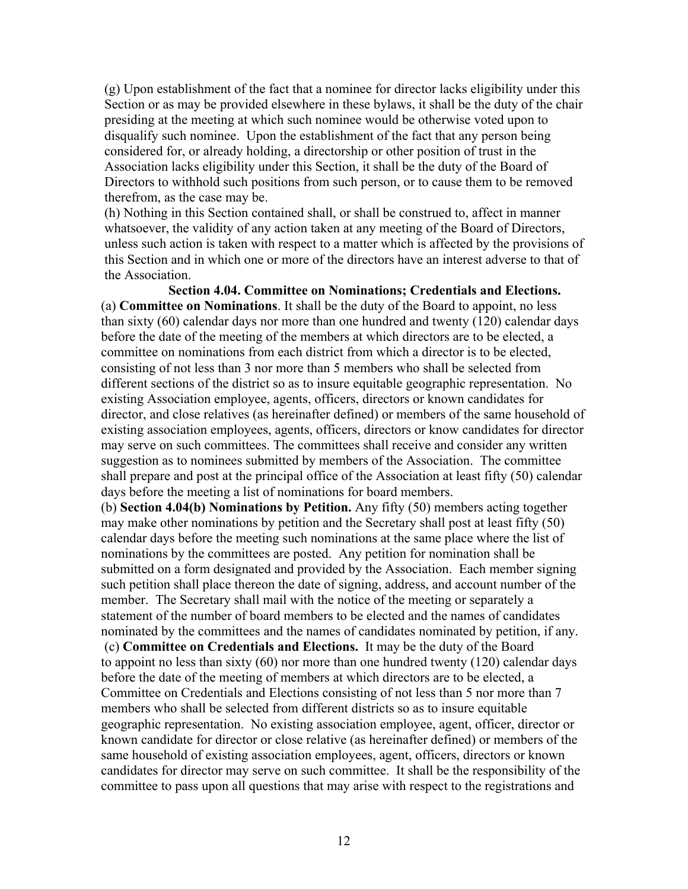(g) Upon establishment of the fact that a nominee for director lacks eligibility under this Section or as may be provided elsewhere in these bylaws, it shall be the duty of the chair presiding at the meeting at which such nominee would be otherwise voted upon to disqualify such nominee. Upon the establishment of the fact that any person being considered for, or already holding, a directorship or other position of trust in the Association lacks eligibility under this Section, it shall be the duty of the Board of Directors to withhold such positions from such person, or to cause them to be removed therefrom, as the case may be.

(h) Nothing in this Section contained shall, or shall be construed to, affect in manner whatsoever, the validity of any action taken at any meeting of the Board of Directors, unless such action is taken with respect to a matter which is affected by the provisions of this Section and in which one or more of the directors have an interest adverse to that of the Association.

 **Section 4.04. Committee on Nominations; Credentials and Elections.** (a) **Committee on Nominations**. It shall be the duty of the Board to appoint, no less than sixty (60) calendar days nor more than one hundred and twenty (120) calendar days before the date of the meeting of the members at which directors are to be elected, a committee on nominations from each district from which a director is to be elected, consisting of not less than 3 nor more than 5 members who shall be selected from different sections of the district so as to insure equitable geographic representation. No existing Association employee, agents, officers, directors or known candidates for director, and close relatives (as hereinafter defined) or members of the same household of existing association employees, agents, officers, directors or know candidates for director may serve on such committees. The committees shall receive and consider any written suggestion as to nominees submitted by members of the Association. The committee shall prepare and post at the principal office of the Association at least fifty (50) calendar days before the meeting a list of nominations for board members.

(b) **Section 4.04(b) Nominations by Petition.** Any fifty (50) members acting together may make other nominations by petition and the Secretary shall post at least fifty (50) calendar days before the meeting such nominations at the same place where the list of nominations by the committees are posted. Any petition for nomination shall be submitted on a form designated and provided by the Association. Each member signing such petition shall place thereon the date of signing, address, and account number of the member. The Secretary shall mail with the notice of the meeting or separately a statement of the number of board members to be elected and the names of candidates nominated by the committees and the names of candidates nominated by petition, if any. (c) **Committee on Credentials and Elections.** It may be the duty of the Board to appoint no less than sixty (60) nor more than one hundred twenty (120) calendar days before the date of the meeting of members at which directors are to be elected, a Committee on Credentials and Elections consisting of not less than 5 nor more than 7 members who shall be selected from different districts so as to insure equitable geographic representation. No existing association employee, agent, officer, director or known candidate for director or close relative (as hereinafter defined) or members of the same household of existing association employees, agent, officers, directors or known candidates for director may serve on such committee. It shall be the responsibility of the committee to pass upon all questions that may arise with respect to the registrations and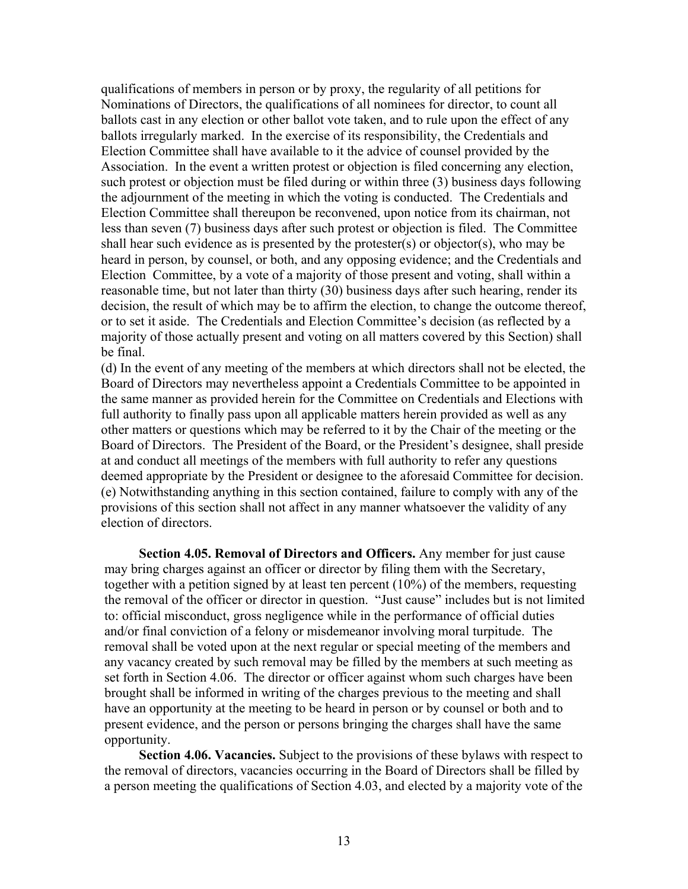qualifications of members in person or by proxy, the regularity of all petitions for Nominations of Directors, the qualifications of all nominees for director, to count all ballots cast in any election or other ballot vote taken, and to rule upon the effect of any ballots irregularly marked. In the exercise of its responsibility, the Credentials and Election Committee shall have available to it the advice of counsel provided by the Association. In the event a written protest or objection is filed concerning any election, such protest or objection must be filed during or within three (3) business days following the adjournment of the meeting in which the voting is conducted. The Credentials and Election Committee shall thereupon be reconvened, upon notice from its chairman, not less than seven (7) business days after such protest or objection is filed. The Committee shall hear such evidence as is presented by the protester(s) or objector(s), who may be heard in person, by counsel, or both, and any opposing evidence; and the Credentials and Election Committee, by a vote of a majority of those present and voting, shall within a reasonable time, but not later than thirty (30) business days after such hearing, render its decision, the result of which may be to affirm the election, to change the outcome thereof, or to set it aside. The Credentials and Election Committee's decision (as reflected by a majority of those actually present and voting on all matters covered by this Section) shall be final.

(d) In the event of any meeting of the members at which directors shall not be elected, the Board of Directors may nevertheless appoint a Credentials Committee to be appointed in the same manner as provided herein for the Committee on Credentials and Elections with full authority to finally pass upon all applicable matters herein provided as well as any other matters or questions which may be referred to it by the Chair of the meeting or the Board of Directors. The President of the Board, or the President's designee, shall preside at and conduct all meetings of the members with full authority to refer any questions deemed appropriate by the President or designee to the aforesaid Committee for decision. (e) Notwithstanding anything in this section contained, failure to comply with any of the provisions of this section shall not affect in any manner whatsoever the validity of any election of directors.

 **Section 4.05. Removal of Directors and Officers.** Any member for just cause may bring charges against an officer or director by filing them with the Secretary, together with a petition signed by at least ten percent (10%) of the members, requesting the removal of the officer or director in question. "Just cause" includes but is not limited to: official misconduct, gross negligence while in the performance of official duties and/or final conviction of a felony or misdemeanor involving moral turpitude. The removal shall be voted upon at the next regular or special meeting of the members and any vacancy created by such removal may be filled by the members at such meeting as set forth in Section 4.06. The director or officer against whom such charges have been brought shall be informed in writing of the charges previous to the meeting and shall have an opportunity at the meeting to be heard in person or by counsel or both and to present evidence, and the person or persons bringing the charges shall have the same opportunity.

 **Section 4.06. Vacancies.** Subject to the provisions of these bylaws with respect to the removal of directors, vacancies occurring in the Board of Directors shall be filled by a person meeting the qualifications of Section 4.03, and elected by a majority vote of the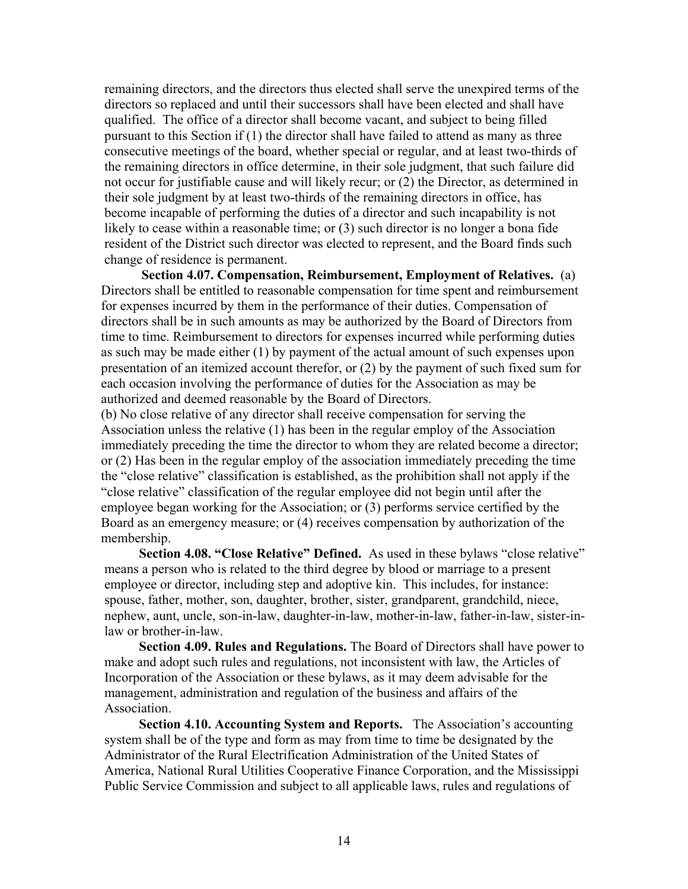remaining directors, and the directors thus elected shall serve the unexpired terms of the directors so replaced and until their successors shall have been elected and shall have qualified. The office of a director shall become vacant, and subject to being filled pursuant to this Section if (1) the director shall have failed to attend as many as three consecutive meetings of the board, whether special or regular, and at least two-thirds of the remaining directors in office determine, in their sole judgment, that such failure did not occur for justifiable cause and will likely recur; or (2) the Director, as determined in their sole judgment by at least two-thirds of the remaining directors in office, has become incapable of performing the duties of a director and such incapability is not likely to cease within a reasonable time; or (3) such director is no longer a bona fide resident of the District such director was elected to represent, and the Board finds such change of residence is permanent.

 **Section 4.07. Compensation, Reimbursement, Employment of Relatives.** (a) Directors shall be entitled to reasonable compensation for time spent and reimbursement for expenses incurred by them in the performance of their duties. Compensation of directors shall be in such amounts as may be authorized by the Board of Directors from time to time. Reimbursement to directors for expenses incurred while performing duties as such may be made either (1) by payment of the actual amount of such expenses upon presentation of an itemized account therefor, or (2) by the payment of such fixed sum for each occasion involving the performance of duties for the Association as may be authorized and deemed reasonable by the Board of Directors.

(b) No close relative of any director shall receive compensation for serving the Association unless the relative (1) has been in the regular employ of the Association immediately preceding the time the director to whom they are related become a director; or (2) Has been in the regular employ of the association immediately preceding the time the "close relative" classification is established, as the prohibition shall not apply if the "close relative" classification of the regular employee did not begin until after the employee began working for the Association; or (3) performs service certified by the Board as an emergency measure; or (4) receives compensation by authorization of the membership.

 **Section 4.08. "Close Relative" Defined.** As used in these bylaws "close relative" means a person who is related to the third degree by blood or marriage to a present employee or director, including step and adoptive kin. This includes, for instance: spouse, father, mother, son, daughter, brother, sister, grandparent, grandchild, niece, nephew, aunt, uncle, son-in-law, daughter-in-law, mother-in-law, father-in-law, sister-inlaw or brother-in-law.

 **Section 4.09. Rules and Regulations.** The Board of Directors shall have power to make and adopt such rules and regulations, not inconsistent with law, the Articles of Incorporation of the Association or these bylaws, as it may deem advisable for the management, administration and regulation of the business and affairs of the Association.

 **Section 4.10. Accounting System and Reports.** The Association's accounting system shall be of the type and form as may from time to time be designated by the Administrator of the Rural Electrification Administration of the United States of America, National Rural Utilities Cooperative Finance Corporation, and the Mississippi Public Service Commission and subject to all applicable laws, rules and regulations of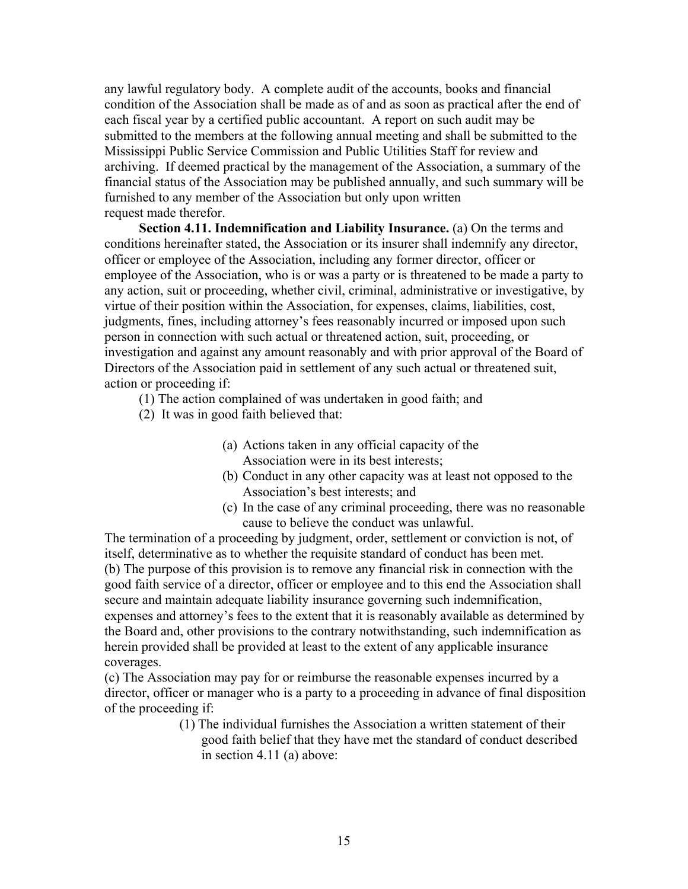any lawful regulatory body. A complete audit of the accounts, books and financial condition of the Association shall be made as of and as soon as practical after the end of each fiscal year by a certified public accountant. A report on such audit may be submitted to the members at the following annual meeting and shall be submitted to the Mississippi Public Service Commission and Public Utilities Staff for review and archiving. If deemed practical by the management of the Association, a summary of the financial status of the Association may be published annually, and such summary will be furnished to any member of the Association but only upon written request made therefor.

**Section 4.11. Indemnification and Liability Insurance.** (a) On the terms and conditions hereinafter stated, the Association or its insurer shall indemnify any director, officer or employee of the Association, including any former director, officer or employee of the Association, who is or was a party or is threatened to be made a party to any action, suit or proceeding, whether civil, criminal, administrative or investigative, by virtue of their position within the Association, for expenses, claims, liabilities, cost, judgments, fines, including attorney's fees reasonably incurred or imposed upon such person in connection with such actual or threatened action, suit, proceeding, or investigation and against any amount reasonably and with prior approval of the Board of Directors of the Association paid in settlement of any such actual or threatened suit, action or proceeding if:

- (1) The action complained of was undertaken in good faith; and
- (2) It was in good faith believed that:
	- (a) Actions taken in any official capacity of the Association were in its best interests;
	- (b) Conduct in any other capacity was at least not opposed to the Association's best interests; and
	- (c) In the case of any criminal proceeding, there was no reasonable cause to believe the conduct was unlawful.

The termination of a proceeding by judgment, order, settlement or conviction is not, of itself, determinative as to whether the requisite standard of conduct has been met. (b) The purpose of this provision is to remove any financial risk in connection with the good faith service of a director, officer or employee and to this end the Association shall secure and maintain adequate liability insurance governing such indemnification, expenses and attorney's fees to the extent that it is reasonably available as determined by the Board and, other provisions to the contrary notwithstanding, such indemnification as herein provided shall be provided at least to the extent of any applicable insurance coverages.

(c) The Association may pay for or reimburse the reasonable expenses incurred by a director, officer or manager who is a party to a proceeding in advance of final disposition of the proceeding if:

> (1) The individual furnishes the Association a written statement of their good faith belief that they have met the standard of conduct described in section 4.11 (a) above: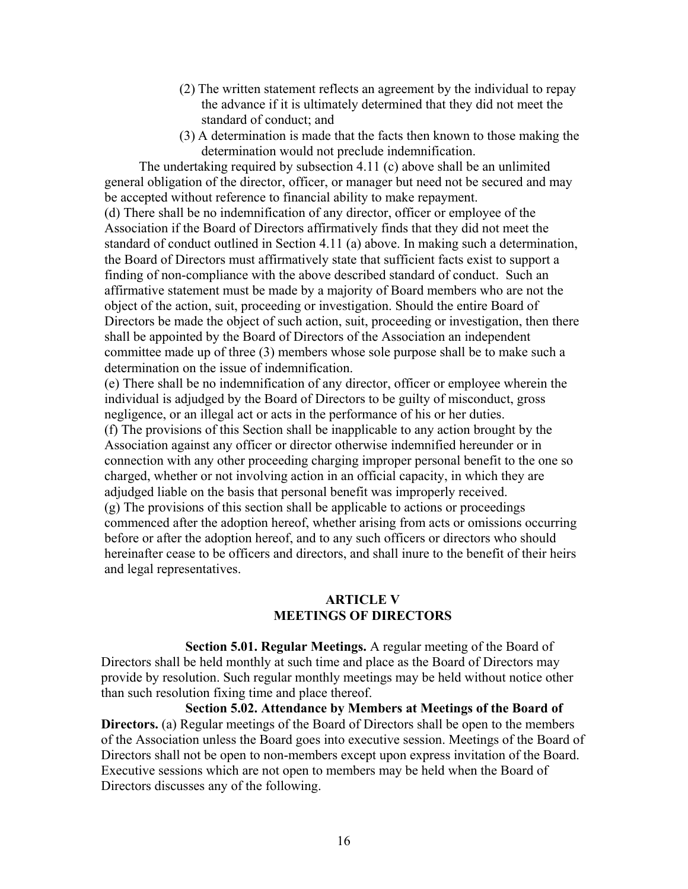- (2) The written statement reflects an agreement by the individual to repay the advance if it is ultimately determined that they did not meet the standard of conduct; and
- (3) A determination is made that the facts then known to those making the determination would not preclude indemnification.

 The undertaking required by subsection 4.11 (c) above shall be an unlimited general obligation of the director, officer, or manager but need not be secured and may be accepted without reference to financial ability to make repayment.

(d) There shall be no indemnification of any director, officer or employee of the Association if the Board of Directors affirmatively finds that they did not meet the standard of conduct outlined in Section 4.11 (a) above. In making such a determination, the Board of Directors must affirmatively state that sufficient facts exist to support a finding of non-compliance with the above described standard of conduct. Such an affirmative statement must be made by a majority of Board members who are not the object of the action, suit, proceeding or investigation. Should the entire Board of Directors be made the object of such action, suit, proceeding or investigation, then there shall be appointed by the Board of Directors of the Association an independent committee made up of three (3) members whose sole purpose shall be to make such a determination on the issue of indemnification.

(e) There shall be no indemnification of any director, officer or employee wherein the individual is adjudged by the Board of Directors to be guilty of misconduct, gross negligence, or an illegal act or acts in the performance of his or her duties. (f) The provisions of this Section shall be inapplicable to any action brought by the Association against any officer or director otherwise indemnified hereunder or in connection with any other proceeding charging improper personal benefit to the one so charged, whether or not involving action in an official capacity, in which they are adjudged liable on the basis that personal benefit was improperly received. (g) The provisions of this section shall be applicable to actions or proceedings commenced after the adoption hereof, whether arising from acts or omissions occurring before or after the adoption hereof, and to any such officers or directors who should hereinafter cease to be officers and directors, and shall inure to the benefit of their heirs and legal representatives.

## **ARTICLE V MEETINGS OF DIRECTORS**

 **Section 5.01. Regular Meetings.** A regular meeting of the Board of Directors shall be held monthly at such time and place as the Board of Directors may provide by resolution. Such regular monthly meetings may be held without notice other than such resolution fixing time and place thereof.

 **Section 5.02. Attendance by Members at Meetings of the Board of Directors.** (a) Regular meetings of the Board of Directors shall be open to the members of the Association unless the Board goes into executive session. Meetings of the Board of Directors shall not be open to non-members except upon express invitation of the Board. Executive sessions which are not open to members may be held when the Board of Directors discusses any of the following.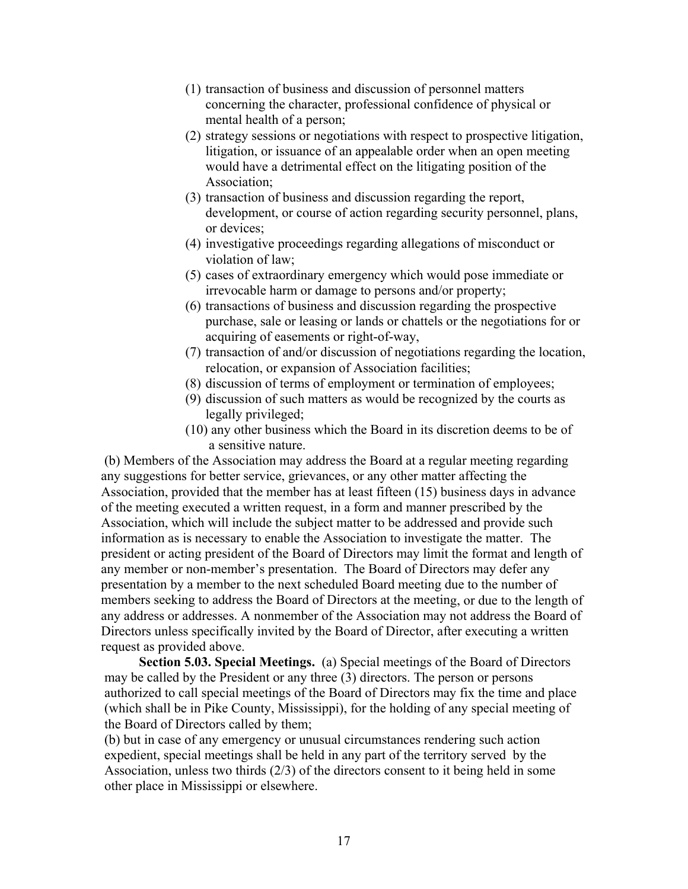- (1) transaction of business and discussion of personnel matters concerning the character, professional confidence of physical or mental health of a person;
- (2) strategy sessions or negotiations with respect to prospective litigation, litigation, or issuance of an appealable order when an open meeting would have a detrimental effect on the litigating position of the Association;
- (3) transaction of business and discussion regarding the report, development, or course of action regarding security personnel, plans, or devices;
- (4) investigative proceedings regarding allegations of misconduct or violation of law;
- (5) cases of extraordinary emergency which would pose immediate or irrevocable harm or damage to persons and/or property;
- (6) transactions of business and discussion regarding the prospective purchase, sale or leasing or lands or chattels or the negotiations for or acquiring of easements or right-of-way,
- (7) transaction of and/or discussion of negotiations regarding the location, relocation, or expansion of Association facilities;
- (8) discussion of terms of employment or termination of employees;
- (9) discussion of such matters as would be recognized by the courts as legally privileged;
- (10) any other business which the Board in its discretion deems to be of a sensitive nature.

 (b) Members of the Association may address the Board at a regular meeting regarding any suggestions for better service, grievances, or any other matter affecting the Association, provided that the member has at least fifteen (15) business days in advance of the meeting executed a written request, in a form and manner prescribed by the Association, which will include the subject matter to be addressed and provide such information as is necessary to enable the Association to investigate the matter. The president or acting president of the Board of Directors may limit the format and length of any member or non-member's presentation. The Board of Directors may defer any presentation by a member to the next scheduled Board meeting due to the number of members seeking to address the Board of Directors at the meeting, or due to the length of any address or addresses. A nonmember of the Association may not address the Board of Directors unless specifically invited by the Board of Director, after executing a written request as provided above.

**Section 5.03. Special Meetings.** (a) Special meetings of the Board of Directors may be called by the President or any three (3) directors. The person or persons authorized to call special meetings of the Board of Directors may fix the time and place (which shall be in Pike County, Mississippi), for the holding of any special meeting of the Board of Directors called by them;

(b) but in case of any emergency or unusual circumstances rendering such action expedient, special meetings shall be held in any part of the territory served by the Association, unless two thirds (2/3) of the directors consent to it being held in some other place in Mississippi or elsewhere.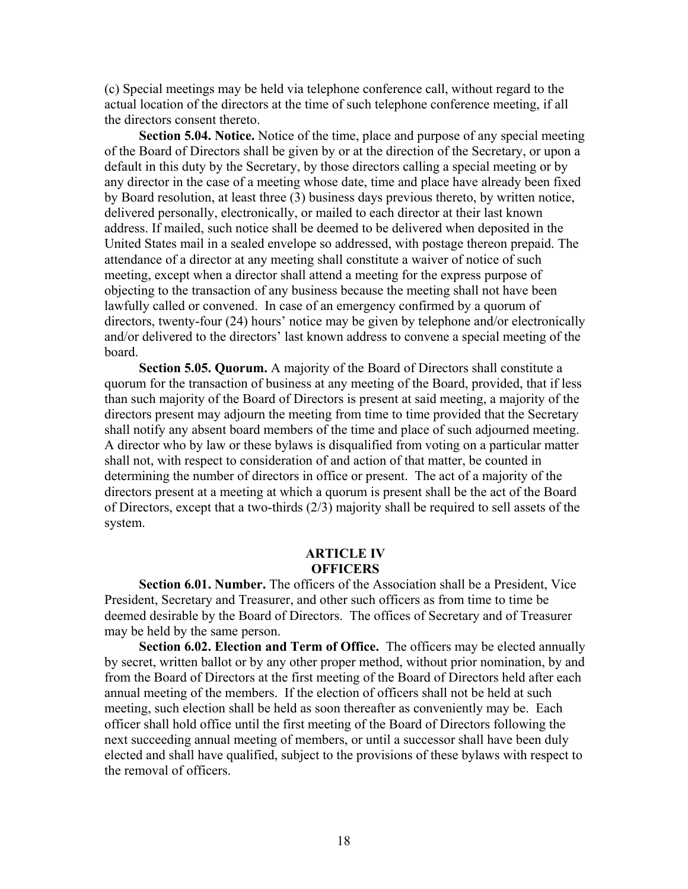(c) Special meetings may be held via telephone conference call, without regard to the actual location of the directors at the time of such telephone conference meeting, if all the directors consent thereto.

**Section 5.04. Notice.** Notice of the time, place and purpose of any special meeting of the Board of Directors shall be given by or at the direction of the Secretary, or upon a default in this duty by the Secretary, by those directors calling a special meeting or by any director in the case of a meeting whose date, time and place have already been fixed by Board resolution, at least three (3) business days previous thereto, by written notice, delivered personally, electronically, or mailed to each director at their last known address. If mailed, such notice shall be deemed to be delivered when deposited in the United States mail in a sealed envelope so addressed, with postage thereon prepaid. The attendance of a director at any meeting shall constitute a waiver of notice of such meeting, except when a director shall attend a meeting for the express purpose of objecting to the transaction of any business because the meeting shall not have been lawfully called or convened. In case of an emergency confirmed by a quorum of directors, twenty-four (24) hours' notice may be given by telephone and/or electronically and/or delivered to the directors' last known address to convene a special meeting of the board.

 **Section 5.05. Quorum.** A majority of the Board of Directors shall constitute a quorum for the transaction of business at any meeting of the Board, provided, that if less than such majority of the Board of Directors is present at said meeting, a majority of the directors present may adjourn the meeting from time to time provided that the Secretary shall notify any absent board members of the time and place of such adjourned meeting. A director who by law or these bylaws is disqualified from voting on a particular matter shall not, with respect to consideration of and action of that matter, be counted in determining the number of directors in office or present. The act of a majority of the directors present at a meeting at which a quorum is present shall be the act of the Board of Directors, except that a two-thirds (2/3) majority shall be required to sell assets of the system.

#### **ARTICLE IV OFFICERS**

**Section 6.01. Number.** The officers of the Association shall be a President, Vice President, Secretary and Treasurer, and other such officers as from time to time be deemed desirable by the Board of Directors. The offices of Secretary and of Treasurer may be held by the same person.

 **Section 6.02. Election and Term of Office.** The officers may be elected annually by secret, written ballot or by any other proper method, without prior nomination, by and from the Board of Directors at the first meeting of the Board of Directors held after each annual meeting of the members. If the election of officers shall not be held at such meeting, such election shall be held as soon thereafter as conveniently may be. Each officer shall hold office until the first meeting of the Board of Directors following the next succeeding annual meeting of members, or until a successor shall have been duly elected and shall have qualified, subject to the provisions of these bylaws with respect to the removal of officers.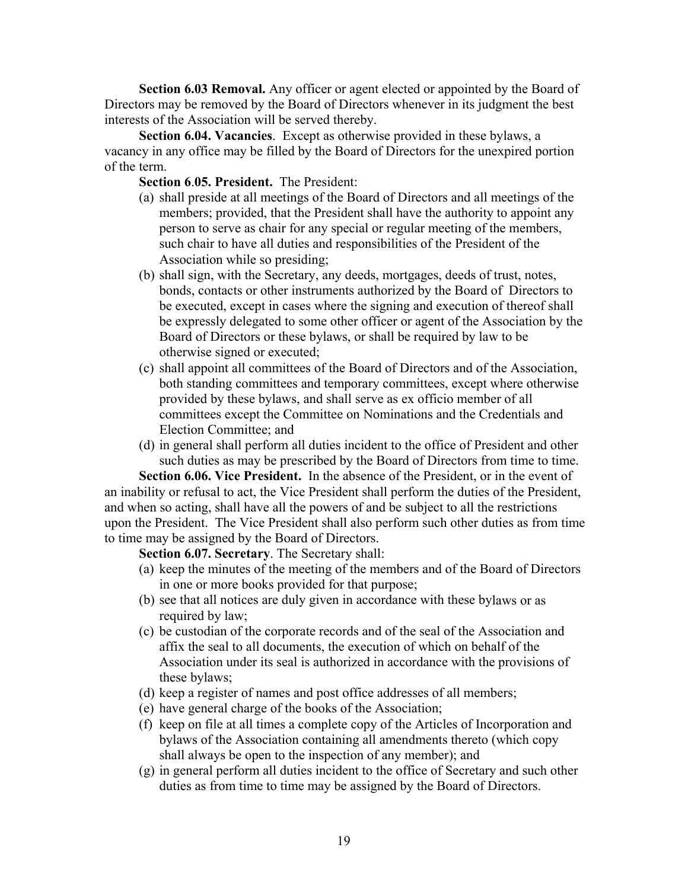**Section 6.03 Removal.** Any officer or agent elected or appointed by the Board of Directors may be removed by the Board of Directors whenever in its judgment the best interests of the Association will be served thereby.

 **Section 6.04. Vacancies**. Except as otherwise provided in these bylaws, a vacancy in any office may be filled by the Board of Directors for the unexpired portion of the term.

## **Section 6**.**05. President.** The President:

- (a) shall preside at all meetings of the Board of Directors and all meetings of the members; provided, that the President shall have the authority to appoint any person to serve as chair for any special or regular meeting of the members, such chair to have all duties and responsibilities of the President of the Association while so presiding;
- (b) shall sign, with the Secretary, any deeds, mortgages, deeds of trust, notes, bonds, contacts or other instruments authorized by the Board of Directors to be executed, except in cases where the signing and execution of thereof shall be expressly delegated to some other officer or agent of the Association by the Board of Directors or these bylaws, or shall be required by law to be otherwise signed or executed;
- (c) shall appoint all committees of the Board of Directors and of the Association, both standing committees and temporary committees, except where otherwise provided by these bylaws, and shall serve as ex officio member of all committees except the Committee on Nominations and the Credentials and Election Committee; and
- (d) in general shall perform all duties incident to the office of President and other such duties as may be prescribed by the Board of Directors from time to time.

**Section 6.06. Vice President.** In the absence of the President, or in the event of an inability or refusal to act, the Vice President shall perform the duties of the President, and when so acting, shall have all the powers of and be subject to all the restrictions upon the President. The Vice President shall also perform such other duties as from time to time may be assigned by the Board of Directors.

**Section 6.07. Secretary**. The Secretary shall:

- (a) keep the minutes of the meeting of the members and of the Board of Directors in one or more books provided for that purpose;
- (b) see that all notices are duly given in accordance with these bylaws or as required by law;
- (c) be custodian of the corporate records and of the seal of the Association and affix the seal to all documents, the execution of which on behalf of the Association under its seal is authorized in accordance with the provisions of these bylaws;
- (d) keep a register of names and post office addresses of all members;
- (e) have general charge of the books of the Association;
- (f) keep on file at all times a complete copy of the Articles of Incorporation and bylaws of the Association containing all amendments thereto (which copy shall always be open to the inspection of any member); and
- (g) in general perform all duties incident to the office of Secretary and such other duties as from time to time may be assigned by the Board of Directors.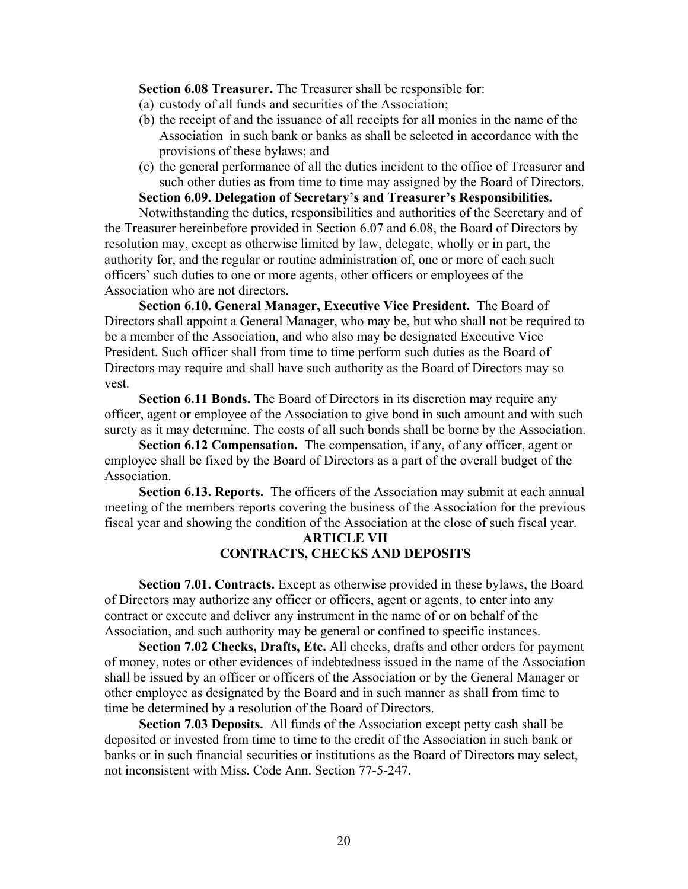**Section 6.08 Treasurer.** The Treasurer shall be responsible for:

- (a) custody of all funds and securities of the Association;
- (b) the receipt of and the issuance of all receipts for all monies in the name of the Association in such bank or banks as shall be selected in accordance with the provisions of these bylaws; and
- (c) the general performance of all the duties incident to the office of Treasurer and such other duties as from time to time may assigned by the Board of Directors. **Section 6.09. Delegation of Secretary's and Treasurer's Responsibilities.**

Notwithstanding the duties, responsibilities and authorities of the Secretary and of the Treasurer hereinbefore provided in Section 6.07 and 6.08, the Board of Directors by resolution may, except as otherwise limited by law, delegate, wholly or in part, the

authority for, and the regular or routine administration of, one or more of each such officers' such duties to one or more agents, other officers or employees of the Association who are not directors.

 **Section 6.10. General Manager, Executive Vice President.** The Board of Directors shall appoint a General Manager, who may be, but who shall not be required to be a member of the Association, and who also may be designated Executive Vice President. Such officer shall from time to time perform such duties as the Board of Directors may require and shall have such authority as the Board of Directors may so vest.

 **Section 6.11 Bonds.** The Board of Directors in its discretion may require any officer, agent or employee of the Association to give bond in such amount and with such surety as it may determine. The costs of all such bonds shall be borne by the Association.

**Section 6.12 Compensation.** The compensation, if any, of any officer, agent or employee shall be fixed by the Board of Directors as a part of the overall budget of the Association.

 **Section 6.13. Reports.** The officers of the Association may submit at each annual meeting of the members reports covering the business of the Association for the previous fiscal year and showing the condition of the Association at the close of such fiscal year.

## **ARTICLE VII CONTRACTS, CHECKS AND DEPOSITS**

 **Section 7.01. Contracts.** Except as otherwise provided in these bylaws, the Board of Directors may authorize any officer or officers, agent or agents, to enter into any contract or execute and deliver any instrument in the name of or on behalf of the Association, and such authority may be general or confined to specific instances.

 **Section 7.02 Checks, Drafts, Etc.** All checks, drafts and other orders for payment of money, notes or other evidences of indebtedness issued in the name of the Association shall be issued by an officer or officers of the Association or by the General Manager or other employee as designated by the Board and in such manner as shall from time to time be determined by a resolution of the Board of Directors.

 **Section 7.03 Deposits.** All funds of the Association except petty cash shall be deposited or invested from time to time to the credit of the Association in such bank or banks or in such financial securities or institutions as the Board of Directors may select, not inconsistent with Miss. Code Ann. Section 77-5-247.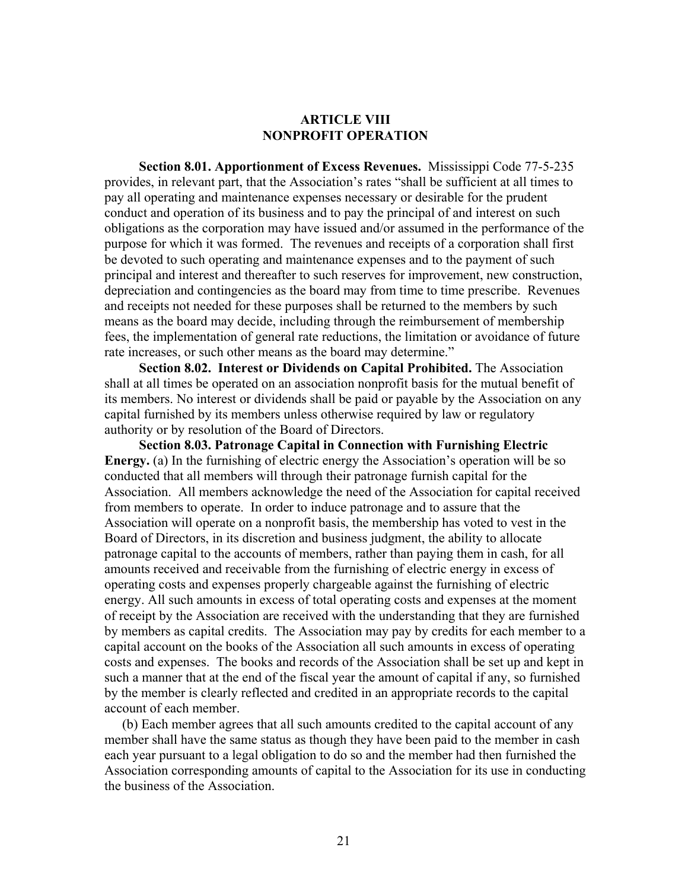## **ARTICLE VIII NONPROFIT OPERATION**

 **Section 8.01. Apportionment of Excess Revenues.** Mississippi Code 77-5-235 provides, in relevant part, that the Association's rates "shall be sufficient at all times to pay all operating and maintenance expenses necessary or desirable for the prudent conduct and operation of its business and to pay the principal of and interest on such obligations as the corporation may have issued and/or assumed in the performance of the purpose for which it was formed. The revenues and receipts of a corporation shall first be devoted to such operating and maintenance expenses and to the payment of such principal and interest and thereafter to such reserves for improvement, new construction, depreciation and contingencies as the board may from time to time prescribe. Revenues and receipts not needed for these purposes shall be returned to the members by such means as the board may decide, including through the reimbursement of membership fees, the implementation of general rate reductions, the limitation or avoidance of future rate increases, or such other means as the board may determine."

 **Section 8.02. Interest or Dividends on Capital Prohibited.** The Association shall at all times be operated on an association nonprofit basis for the mutual benefit of its members. No interest or dividends shall be paid or payable by the Association on any capital furnished by its members unless otherwise required by law or regulatory authority or by resolution of the Board of Directors.

 **Section 8.03. Patronage Capital in Connection with Furnishing Electric Energy.** (a) In the furnishing of electric energy the Association's operation will be so conducted that all members will through their patronage furnish capital for the Association. All members acknowledge the need of the Association for capital received from members to operate. In order to induce patronage and to assure that the Association will operate on a nonprofit basis, the membership has voted to vest in the Board of Directors, in its discretion and business judgment, the ability to allocate patronage capital to the accounts of members, rather than paying them in cash, for all amounts received and receivable from the furnishing of electric energy in excess of operating costs and expenses properly chargeable against the furnishing of electric energy. All such amounts in excess of total operating costs and expenses at the moment of receipt by the Association are received with the understanding that they are furnished by members as capital credits. The Association may pay by credits for each member to a capital account on the books of the Association all such amounts in excess of operating costs and expenses. The books and records of the Association shall be set up and kept in such a manner that at the end of the fiscal year the amount of capital if any, so furnished by the member is clearly reflected and credited in an appropriate records to the capital account of each member.

 (b) Each member agrees that all such amounts credited to the capital account of any member shall have the same status as though they have been paid to the member in cash each year pursuant to a legal obligation to do so and the member had then furnished the Association corresponding amounts of capital to the Association for its use in conducting the business of the Association.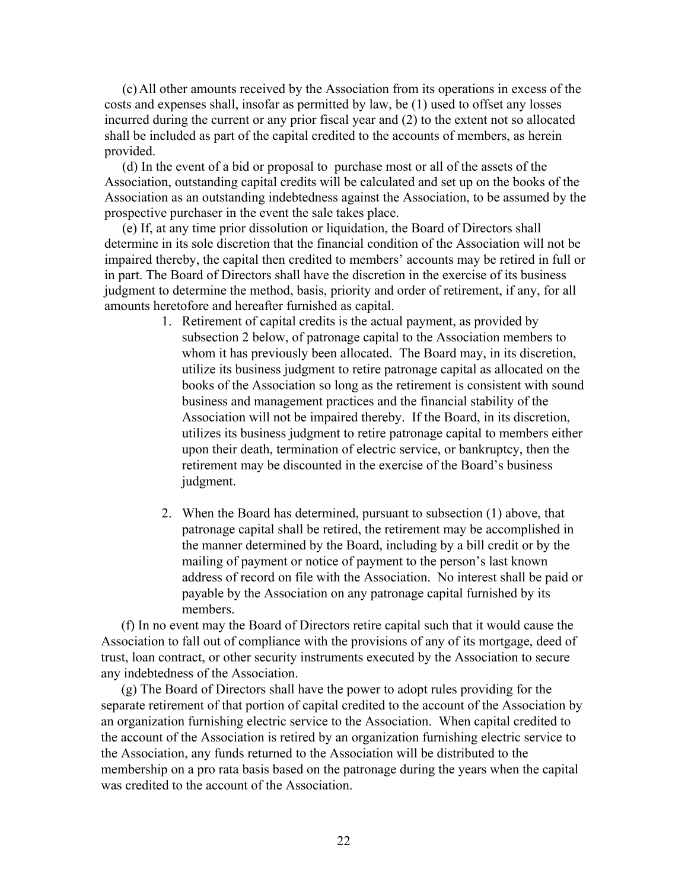(c) All other amounts received by the Association from its operations in excess of the costs and expenses shall, insofar as permitted by law, be (1) used to offset any losses incurred during the current or any prior fiscal year and (2) to the extent not so allocated shall be included as part of the capital credited to the accounts of members, as herein provided.

 (d) In the event of a bid or proposal to purchase most or all of the assets of the Association, outstanding capital credits will be calculated and set up on the books of the Association as an outstanding indebtedness against the Association, to be assumed by the prospective purchaser in the event the sale takes place.

 (e) If, at any time prior dissolution or liquidation, the Board of Directors shall determine in its sole discretion that the financial condition of the Association will not be impaired thereby, the capital then credited to members' accounts may be retired in full or in part. The Board of Directors shall have the discretion in the exercise of its business judgment to determine the method, basis, priority and order of retirement, if any, for all amounts heretofore and hereafter furnished as capital.

- 1. Retirement of capital credits is the actual payment, as provided by subsection 2 below, of patronage capital to the Association members to whom it has previously been allocated. The Board may, in its discretion, utilize its business judgment to retire patronage capital as allocated on the books of the Association so long as the retirement is consistent with sound business and management practices and the financial stability of the Association will not be impaired thereby. If the Board, in its discretion, utilizes its business judgment to retire patronage capital to members either upon their death, termination of electric service, or bankruptcy, then the retirement may be discounted in the exercise of the Board's business judgment.
- 2. When the Board has determined, pursuant to subsection (1) above, that patronage capital shall be retired, the retirement may be accomplished in the manner determined by the Board, including by a bill credit or by the mailing of payment or notice of payment to the person's last known address of record on file with the Association. No interest shall be paid or payable by the Association on any patronage capital furnished by its members.

(f) In no event may the Board of Directors retire capital such that it would cause the Association to fall out of compliance with the provisions of any of its mortgage, deed of trust, loan contract, or other security instruments executed by the Association to secure any indebtedness of the Association.

(g) The Board of Directors shall have the power to adopt rules providing for the separate retirement of that portion of capital credited to the account of the Association by an organization furnishing electric service to the Association. When capital credited to the account of the Association is retired by an organization furnishing electric service to the Association, any funds returned to the Association will be distributed to the membership on a pro rata basis based on the patronage during the years when the capital was credited to the account of the Association.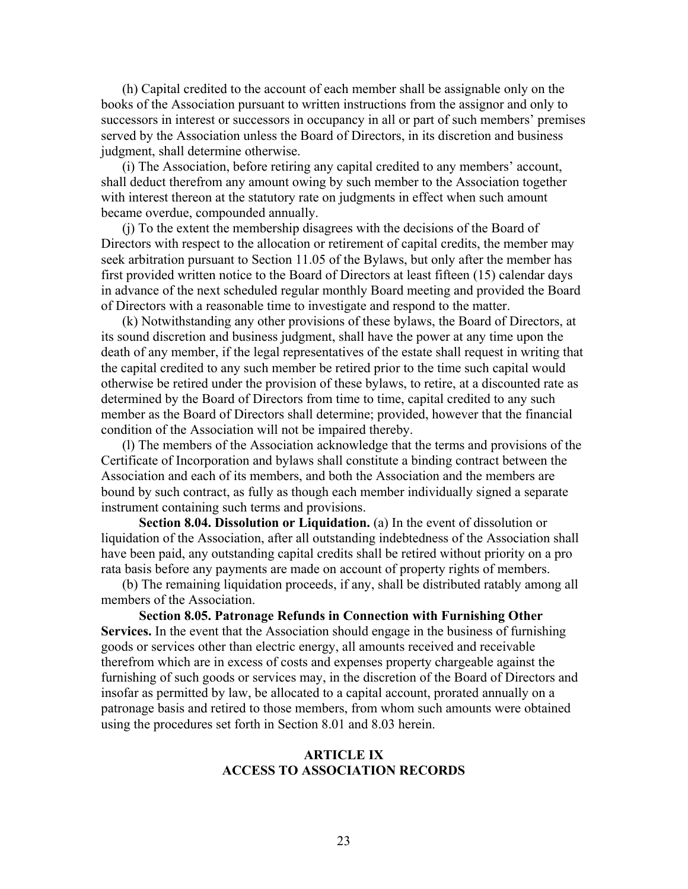(h) Capital credited to the account of each member shall be assignable only on the books of the Association pursuant to written instructions from the assignor and only to successors in interest or successors in occupancy in all or part of such members' premises served by the Association unless the Board of Directors, in its discretion and business judgment, shall determine otherwise.

 (i) The Association, before retiring any capital credited to any members' account, shall deduct therefrom any amount owing by such member to the Association together with interest thereon at the statutory rate on judgments in effect when such amount became overdue, compounded annually.

 (j) To the extent the membership disagrees with the decisions of the Board of Directors with respect to the allocation or retirement of capital credits, the member may seek arbitration pursuant to Section 11.05 of the Bylaws, but only after the member has first provided written notice to the Board of Directors at least fifteen (15) calendar days in advance of the next scheduled regular monthly Board meeting and provided the Board of Directors with a reasonable time to investigate and respond to the matter.

 (k) Notwithstanding any other provisions of these bylaws, the Board of Directors, at its sound discretion and business judgment, shall have the power at any time upon the death of any member, if the legal representatives of the estate shall request in writing that the capital credited to any such member be retired prior to the time such capital would otherwise be retired under the provision of these bylaws, to retire, at a discounted rate as determined by the Board of Directors from time to time, capital credited to any such member as the Board of Directors shall determine; provided, however that the financial condition of the Association will not be impaired thereby.

 (l) The members of the Association acknowledge that the terms and provisions of the Certificate of Incorporation and bylaws shall constitute a binding contract between the Association and each of its members, and both the Association and the members are bound by such contract, as fully as though each member individually signed a separate instrument containing such terms and provisions.

 **Section 8.04. Dissolution or Liquidation.** (a) In the event of dissolution or liquidation of the Association, after all outstanding indebtedness of the Association shall have been paid, any outstanding capital credits shall be retired without priority on a pro rata basis before any payments are made on account of property rights of members.

 (b) The remaining liquidation proceeds, if any, shall be distributed ratably among all members of the Association.

 **Section 8.05. Patronage Refunds in Connection with Furnishing Other Services.** In the event that the Association should engage in the business of furnishing goods or services other than electric energy, all amounts received and receivable therefrom which are in excess of costs and expenses property chargeable against the furnishing of such goods or services may, in the discretion of the Board of Directors and insofar as permitted by law, be allocated to a capital account, prorated annually on a patronage basis and retired to those members, from whom such amounts were obtained using the procedures set forth in Section 8.01 and 8.03 herein.

## **ARTICLE IX ACCESS TO ASSOCIATION RECORDS**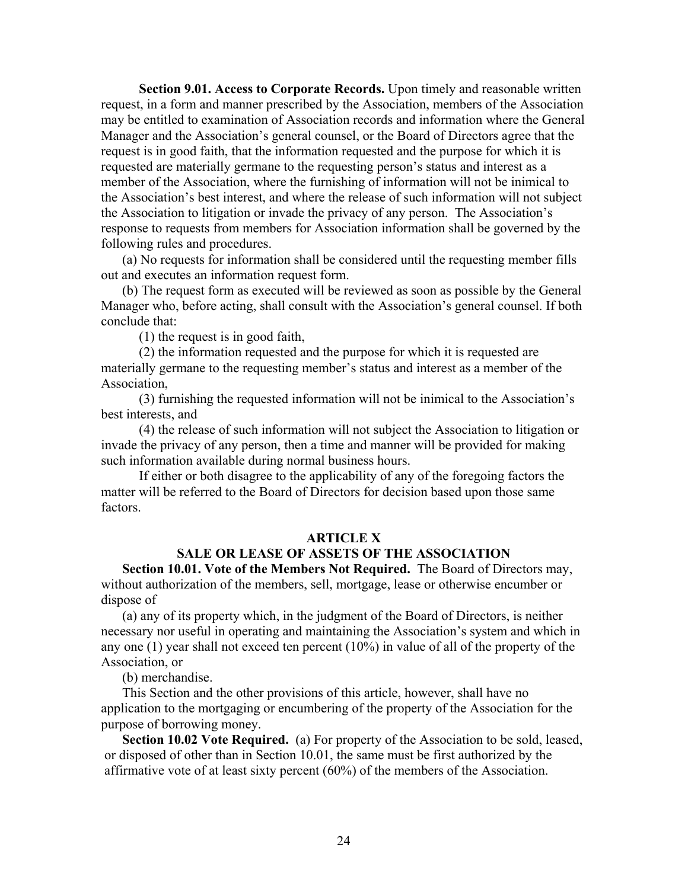**Section 9.01. Access to Corporate Records.** Upon timely and reasonable written request, in a form and manner prescribed by the Association, members of the Association may be entitled to examination of Association records and information where the General Manager and the Association's general counsel, or the Board of Directors agree that the request is in good faith, that the information requested and the purpose for which it is requested are materially germane to the requesting person's status and interest as a member of the Association, where the furnishing of information will not be inimical to the Association's best interest, and where the release of such information will not subject the Association to litigation or invade the privacy of any person. The Association's response to requests from members for Association information shall be governed by the following rules and procedures.

 (a) No requests for information shall be considered until the requesting member fills out and executes an information request form.

 (b) The request form as executed will be reviewed as soon as possible by the General Manager who, before acting, shall consult with the Association's general counsel. If both conclude that:

(1) the request is in good faith,

 (2) the information requested and the purpose for which it is requested are materially germane to the requesting member's status and interest as a member of the Association,

 (3) furnishing the requested information will not be inimical to the Association's best interests, and

 (4) the release of such information will not subject the Association to litigation or invade the privacy of any person, then a time and manner will be provided for making such information available during normal business hours.

 If either or both disagree to the applicability of any of the foregoing factors the matter will be referred to the Board of Directors for decision based upon those same factors.

### **ARTICLE X**

## **SALE OR LEASE OF ASSETS OF THE ASSOCIATION**

 **Section 10.01. Vote of the Members Not Required.** The Board of Directors may, without authorization of the members, sell, mortgage, lease or otherwise encumber or dispose of

 (a) any of its property which, in the judgment of the Board of Directors, is neither necessary nor useful in operating and maintaining the Association's system and which in any one (1) year shall not exceed ten percent (10%) in value of all of the property of the Association, or

(b) merchandise.

 This Section and the other provisions of this article, however, shall have no application to the mortgaging or encumbering of the property of the Association for the purpose of borrowing money.

**Section 10.02 Vote Required.** (a) For property of the Association to be sold, leased, or disposed of other than in Section 10.01, the same must be first authorized by the affirmative vote of at least sixty percent (60%) of the members of the Association.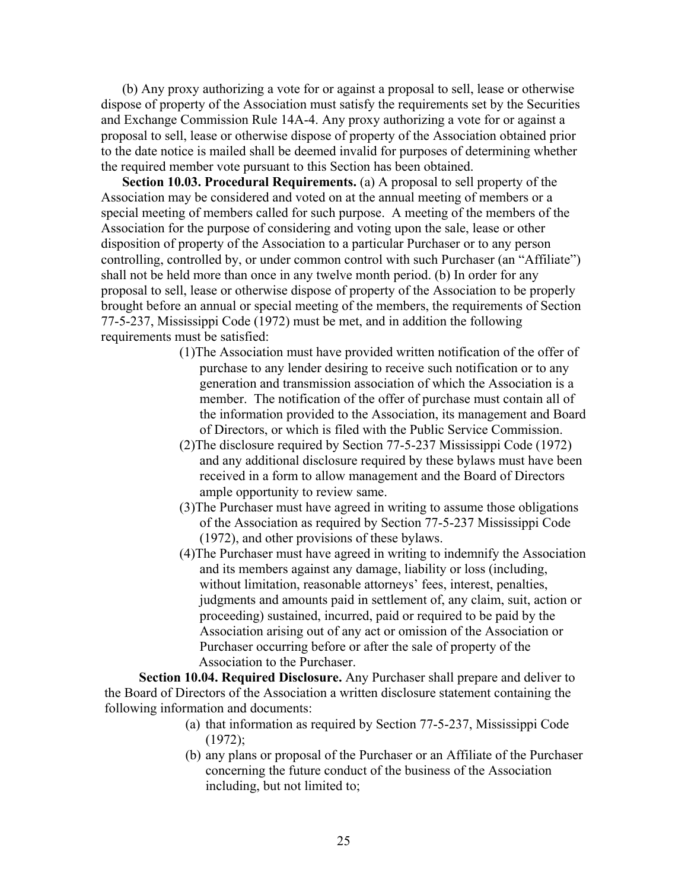(b) Any proxy authorizing a vote for or against a proposal to sell, lease or otherwise dispose of property of the Association must satisfy the requirements set by the Securities and Exchange Commission Rule 14A-4. Any proxy authorizing a vote for or against a proposal to sell, lease or otherwise dispose of property of the Association obtained prior to the date notice is mailed shall be deemed invalid for purposes of determining whether the required member vote pursuant to this Section has been obtained.

**Section 10.03. Procedural Requirements.** (a) A proposal to sell property of the Association may be considered and voted on at the annual meeting of members or a special meeting of members called for such purpose. A meeting of the members of the Association for the purpose of considering and voting upon the sale, lease or other disposition of property of the Association to a particular Purchaser or to any person controlling, controlled by, or under common control with such Purchaser (an "Affiliate") shall not be held more than once in any twelve month period. (b) In order for any proposal to sell, lease or otherwise dispose of property of the Association to be properly brought before an annual or special meeting of the members, the requirements of Section 77-5-237, Mississippi Code (1972) must be met, and in addition the following requirements must be satisfied:

- (1)The Association must have provided written notification of the offer of purchase to any lender desiring to receive such notification or to any generation and transmission association of which the Association is a member. The notification of the offer of purchase must contain all of the information provided to the Association, its management and Board of Directors, or which is filed with the Public Service Commission.
- (2)The disclosure required by Section 77-5-237 Mississippi Code (1972) and any additional disclosure required by these bylaws must have been received in a form to allow management and the Board of Directors ample opportunity to review same.
- (3)The Purchaser must have agreed in writing to assume those obligations of the Association as required by Section 77-5-237 Mississippi Code (1972), and other provisions of these bylaws.
- (4)The Purchaser must have agreed in writing to indemnify the Association and its members against any damage, liability or loss (including, without limitation, reasonable attorneys' fees, interest, penalties, judgments and amounts paid in settlement of, any claim, suit, action or proceeding) sustained, incurred, paid or required to be paid by the Association arising out of any act or omission of the Association or Purchaser occurring before or after the sale of property of the Association to the Purchaser.

 **Section 10.04. Required Disclosure.** Any Purchaser shall prepare and deliver to the Board of Directors of the Association a written disclosure statement containing the following information and documents:

- (a) that information as required by Section 77-5-237, Mississippi Code (1972);
- (b) any plans or proposal of the Purchaser or an Affiliate of the Purchaser concerning the future conduct of the business of the Association including, but not limited to;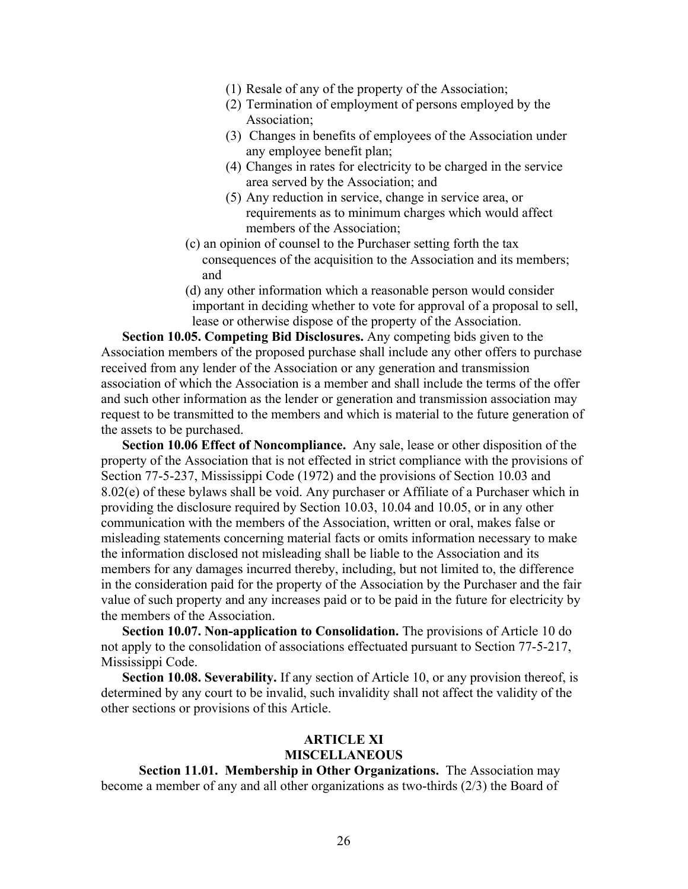- (1) Resale of any of the property of the Association;
- (2) Termination of employment of persons employed by the Association;
- (3) Changes in benefits of employees of the Association under any employee benefit plan;
- (4) Changes in rates for electricity to be charged in the service area served by the Association; and
- (5) Any reduction in service, change in service area, or requirements as to minimum charges which would affect members of the Association;
- (c) an opinion of counsel to the Purchaser setting forth the tax consequences of the acquisition to the Association and its members; and
- (d) any other information which a reasonable person would consider important in deciding whether to vote for approval of a proposal to sell, lease or otherwise dispose of the property of the Association.

**Section 10.05. Competing Bid Disclosures.** Any competing bids given to the Association members of the proposed purchase shall include any other offers to purchase received from any lender of the Association or any generation and transmission association of which the Association is a member and shall include the terms of the offer and such other information as the lender or generation and transmission association may request to be transmitted to the members and which is material to the future generation of the assets to be purchased.

 **Section 10.06 Effect of Noncompliance.** Any sale, lease or other disposition of the property of the Association that is not effected in strict compliance with the provisions of Section 77-5-237, Mississippi Code (1972) and the provisions of Section 10.03 and 8.02(e) of these bylaws shall be void. Any purchaser or Affiliate of a Purchaser which in providing the disclosure required by Section 10.03, 10.04 and 10.05, or in any other communication with the members of the Association, written or oral, makes false or misleading statements concerning material facts or omits information necessary to make the information disclosed not misleading shall be liable to the Association and its members for any damages incurred thereby, including, but not limited to, the difference in the consideration paid for the property of the Association by the Purchaser and the fair value of such property and any increases paid or to be paid in the future for electricity by the members of the Association.

 **Section 10.07. Non-application to Consolidation.** The provisions of Article 10 do not apply to the consolidation of associations effectuated pursuant to Section 77-5-217, Mississippi Code.

**Section 10.08. Severability.** If any section of Article 10, or any provision thereof, is determined by any court to be invalid, such invalidity shall not affect the validity of the other sections or provisions of this Article.

#### **ARTICLE XI MISCELLANEOUS**

 **Section 11.01. Membership in Other Organizations.** The Association may become a member of any and all other organizations as two-thirds (2/3) the Board of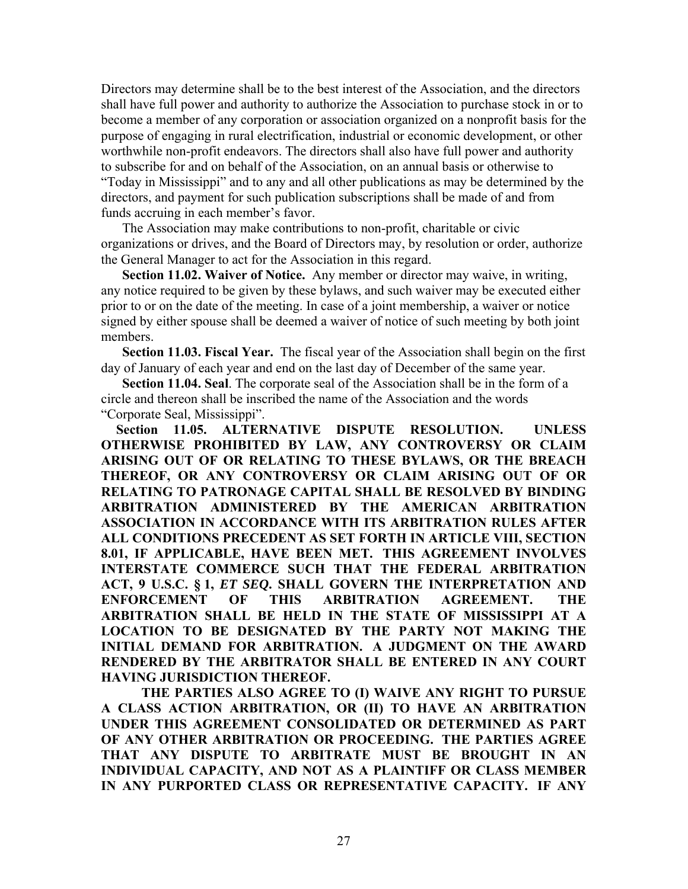Directors may determine shall be to the best interest of the Association, and the directors shall have full power and authority to authorize the Association to purchase stock in or to become a member of any corporation or association organized on a nonprofit basis for the purpose of engaging in rural electrification, industrial or economic development, or other worthwhile non-profit endeavors. The directors shall also have full power and authority to subscribe for and on behalf of the Association, on an annual basis or otherwise to "Today in Mississippi" and to any and all other publications as may be determined by the directors, and payment for such publication subscriptions shall be made of and from funds accruing in each member's favor.

 The Association may make contributions to non-profit, charitable or civic organizations or drives, and the Board of Directors may, by resolution or order, authorize the General Manager to act for the Association in this regard.

**Section 11.02. Waiver of Notice.** Any member or director may waive, in writing, any notice required to be given by these bylaws, and such waiver may be executed either prior to or on the date of the meeting. In case of a joint membership, a waiver or notice signed by either spouse shall be deemed a waiver of notice of such meeting by both joint members.

**Section 11.03. Fiscal Year.** The fiscal year of the Association shall begin on the first day of January of each year and end on the last day of December of the same year.

**Section 11.04. Seal**. The corporate seal of the Association shall be in the form of a circle and thereon shall be inscribed the name of the Association and the words "Corporate Seal, Mississippi".

 **Section 11.05. ALTERNATIVE DISPUTE RESOLUTION. UNLESS OTHERWISE PROHIBITED BY LAW, ANY CONTROVERSY OR CLAIM ARISING OUT OF OR RELATING TO THESE BYLAWS, OR THE BREACH THEREOF, OR ANY CONTROVERSY OR CLAIM ARISING OUT OF OR RELATING TO PATRONAGE CAPITAL SHALL BE RESOLVED BY BINDING ARBITRATION ADMINISTERED BY THE AMERICAN ARBITRATION ASSOCIATION IN ACCORDANCE WITH ITS ARBITRATION RULES AFTER ALL CONDITIONS PRECEDENT AS SET FORTH IN ARTICLE VIII, SECTION 8.01, IF APPLICABLE, HAVE BEEN MET. THIS AGREEMENT INVOLVES INTERSTATE COMMERCE SUCH THAT THE FEDERAL ARBITRATION ACT, 9 U.S.C. § 1,** *ET SEQ***. SHALL GOVERN THE INTERPRETATION AND ENFORCEMENT OF THIS ARBITRATION AGREEMENT. THE ARBITRATION SHALL BE HELD IN THE STATE OF MISSISSIPPI AT A LOCATION TO BE DESIGNATED BY THE PARTY NOT MAKING THE INITIAL DEMAND FOR ARBITRATION. A JUDGMENT ON THE AWARD RENDERED BY THE ARBITRATOR SHALL BE ENTERED IN ANY COURT HAVING JURISDICTION THEREOF.** 

**THE PARTIES ALSO AGREE TO (I) WAIVE ANY RIGHT TO PURSUE A CLASS ACTION ARBITRATION, OR (II) TO HAVE AN ARBITRATION UNDER THIS AGREEMENT CONSOLIDATED OR DETERMINED AS PART OF ANY OTHER ARBITRATION OR PROCEEDING. THE PARTIES AGREE THAT ANY DISPUTE TO ARBITRATE MUST BE BROUGHT IN AN INDIVIDUAL CAPACITY, AND NOT AS A PLAINTIFF OR CLASS MEMBER IN ANY PURPORTED CLASS OR REPRESENTATIVE CAPACITY. IF ANY**